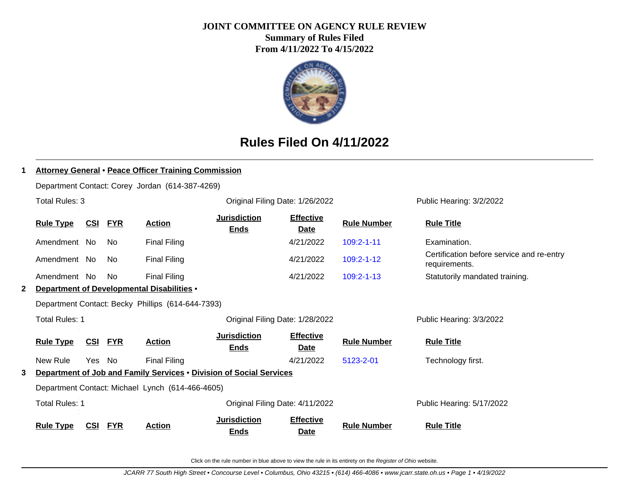# **JOINT COMMITTEE ON AGENCY RULE REVIEW**

**Summary of Rules Filed From 4/11/2022 To 4/15/2022**



## **Rules Filed On 4/11/2022**

| 1 | <b>Attorney General • Peace Officer Training Commission</b>   |            |            |                                                   |                                                                     |                                 |                    |                                                            |  |  |  |
|---|---------------------------------------------------------------|------------|------------|---------------------------------------------------|---------------------------------------------------------------------|---------------------------------|--------------------|------------------------------------------------------------|--|--|--|
|   |                                                               |            |            | Department Contact: Corey Jordan (614-387-4269)   |                                                                     |                                 |                    |                                                            |  |  |  |
|   | Total Rules: 3                                                |            |            |                                                   | Original Filing Date: 1/26/2022                                     |                                 |                    | Public Hearing: 3/2/2022                                   |  |  |  |
|   | <u>CSI</u><br><b>Rule Type</b><br><b>FYR</b><br><b>Action</b> |            |            |                                                   | <b>Jurisdiction</b><br><b>Ends</b>                                  | <b>Effective</b><br>Date        | <b>Rule Number</b> | <b>Rule Title</b>                                          |  |  |  |
|   | Amendment No                                                  |            | No.        | <b>Final Filing</b>                               |                                                                     | 4/21/2022                       | $109:2 - 1 - 11$   | Examination.                                               |  |  |  |
|   | Amendment No                                                  |            | No         | <b>Final Filing</b>                               |                                                                     | 4/21/2022                       | $109:2 - 1 - 12$   | Certification before service and re-entry<br>requirements. |  |  |  |
|   | Amendment No                                                  |            | <b>No</b>  | <b>Final Filing</b>                               |                                                                     | 4/21/2022                       | $109:2 - 1 - 13$   | Statutorily mandated training.                             |  |  |  |
| 2 | Department of Developmental Disabilities .                    |            |            |                                                   |                                                                     |                                 |                    |                                                            |  |  |  |
|   |                                                               |            |            | Department Contact: Becky Phillips (614-644-7393) |                                                                     |                                 |                    |                                                            |  |  |  |
|   | Total Rules: 1                                                |            |            |                                                   | Original Filing Date: 1/28/2022                                     |                                 |                    | Public Hearing: 3/3/2022                                   |  |  |  |
|   | <b>Rule Type</b>                                              | <u>CSI</u> | <u>FYR</u> | <b>Action</b>                                     | <b>Jurisdiction</b><br><b>Ends</b>                                  | <b>Effective</b><br><b>Date</b> | <b>Rule Number</b> | <b>Rule Title</b>                                          |  |  |  |
|   | New Rule                                                      | Yes No     |            | <b>Final Filing</b>                               |                                                                     | 4/21/2022                       | 5123-2-01          | Technology first.                                          |  |  |  |
| 3 |                                                               |            |            |                                                   | Department of Job and Family Services . Division of Social Services |                                 |                    |                                                            |  |  |  |
|   | Department Contact: Michael Lynch (614-466-4605)              |            |            |                                                   |                                                                     |                                 |                    |                                                            |  |  |  |
|   | <b>Total Rules: 1</b>                                         |            |            |                                                   | Original Filing Date: 4/11/2022                                     |                                 |                    | Public Hearing: 5/17/2022                                  |  |  |  |
|   | <b>Rule Type</b>                                              | <u>CSI</u> | <b>FYR</b> | <b>Action</b>                                     | <b>Jurisdiction</b><br><b>Ends</b>                                  | <b>Effective</b><br><b>Date</b> | <b>Rule Number</b> | <b>Rule Title</b>                                          |  |  |  |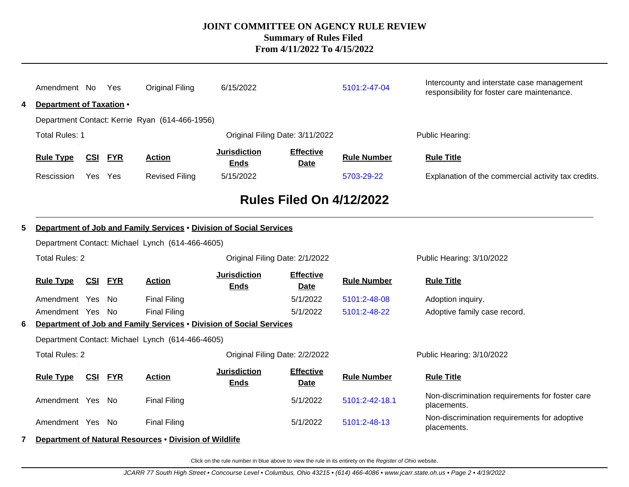|                                                          | Amendment No                                     |                | Yes            | <b>Original Filing</b>                                              | 6/15/2022                                                      |                          | 5101:2-47-04       | Intercounty and interstate case management<br>responsibility for foster care maintenance. |  |  |  |  |  |
|----------------------------------------------------------|--------------------------------------------------|----------------|----------------|---------------------------------------------------------------------|----------------------------------------------------------------|--------------------------|--------------------|-------------------------------------------------------------------------------------------|--|--|--|--|--|
| 4                                                        | Department of Taxation •                         |                |                |                                                                     |                                                                |                          |                    |                                                                                           |  |  |  |  |  |
|                                                          |                                                  |                |                | Department Contact: Kerrie Ryan (614-466-1956)                      |                                                                |                          |                    |                                                                                           |  |  |  |  |  |
| <b>Total Rules: 1</b><br>Original Filing Date: 3/11/2022 |                                                  |                |                |                                                                     |                                                                |                          | Public Hearing:    |                                                                                           |  |  |  |  |  |
|                                                          | <b>Rule Type</b>                                 | <b>CSI</b>     | <b>FYR</b>     | <b>Action</b>                                                       | <b>Jurisdiction</b><br><b>Effective</b><br><b>Ends</b><br>Date |                          | <b>Rule Number</b> | <b>Rule Title</b>                                                                         |  |  |  |  |  |
|                                                          | Rescission                                       | Yes            | Yes            | <b>Revised Filing</b>                                               | 5/15/2022                                                      |                          | 5703-29-22         | Explanation of the commercial activity tax credits.                                       |  |  |  |  |  |
|                                                          | <b>Rules Filed On 4/12/2022</b>                  |                |                |                                                                     |                                                                |                          |                    |                                                                                           |  |  |  |  |  |
|                                                          |                                                  |                |                |                                                                     |                                                                |                          |                    |                                                                                           |  |  |  |  |  |
| 5                                                        |                                                  |                |                | Department of Job and Family Services . Division of Social Services |                                                                |                          |                    |                                                                                           |  |  |  |  |  |
|                                                          | Department Contact: Michael Lynch (614-466-4605) |                |                |                                                                     |                                                                |                          |                    |                                                                                           |  |  |  |  |  |
| <b>Total Rules: 2</b><br>Original Filing Date: 2/1/2022  |                                                  |                |                |                                                                     |                                                                |                          |                    | Public Hearing: 3/10/2022                                                                 |  |  |  |  |  |
|                                                          | <b>Rule Type</b>                                 |                | <b>CSI FYR</b> | <b>Action</b>                                                       | <b>Jurisdiction</b><br><b>Ends</b>                             | <b>Effective</b><br>Date | <b>Rule Number</b> | <b>Rule Title</b>                                                                         |  |  |  |  |  |
|                                                          | Amendment Yes                                    |                | No             | <b>Final Filing</b>                                                 |                                                                | 5/1/2022                 | 5101:2-48-08       | Adoption inquiry.                                                                         |  |  |  |  |  |
|                                                          | Amendment Yes No                                 |                |                | <b>Final Filing</b>                                                 |                                                                | 5/1/2022                 | 5101:2-48-22       | Adoptive family case record.                                                              |  |  |  |  |  |
| 6                                                        |                                                  |                |                | Department of Job and Family Services . Division of Social Services |                                                                |                          |                    |                                                                                           |  |  |  |  |  |
|                                                          |                                                  |                |                | Department Contact: Michael Lynch (614-466-4605)                    |                                                                |                          |                    |                                                                                           |  |  |  |  |  |
|                                                          | <b>Total Rules: 2</b>                            |                |                |                                                                     | Original Filing Date: 2/2/2022                                 |                          |                    | Public Hearing: 3/10/2022                                                                 |  |  |  |  |  |
|                                                          | <b>Rule Type</b>                                 | <b>CSI FYR</b> |                | <b>Action</b>                                                       | <b>Jurisdiction</b><br><b>Ends</b>                             | <b>Effective</b><br>Date | <b>Rule Number</b> | <b>Rule Title</b>                                                                         |  |  |  |  |  |
|                                                          | Amendment Yes No                                 |                |                | <b>Final Filing</b>                                                 |                                                                | 5/1/2022                 | 5101:2-42-18.1     | Non-discrimination requirements for foster care<br>placements.                            |  |  |  |  |  |
|                                                          | Amendment Yes No                                 |                |                | <b>Final Filing</b>                                                 |                                                                | 5/1/2022                 | 5101:2-48-13       | Non-discrimination requirements for adoptive<br>placements.                               |  |  |  |  |  |
| 7                                                        |                                                  |                |                | Department of Natural Resources . Division of Wildlife              |                                                                |                          |                    |                                                                                           |  |  |  |  |  |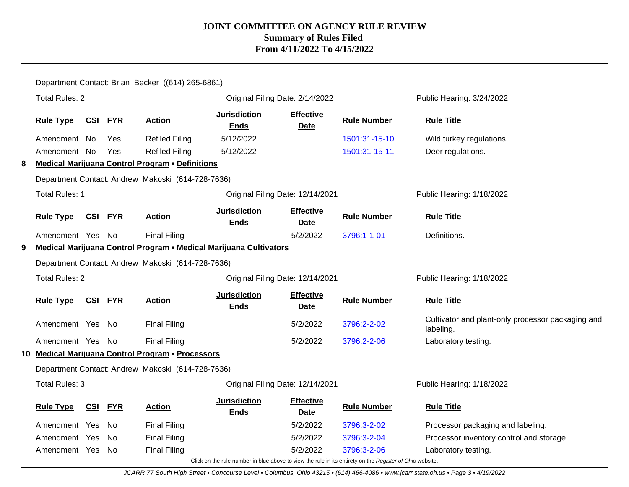|                                                           |                                                               |                                                                                                          |                | Department Contact: Brian Becker ((614) 265-6861) |                                                                   |                                  |                    |                                                                |  |  |  |  |
|-----------------------------------------------------------|---------------------------------------------------------------|----------------------------------------------------------------------------------------------------------|----------------|---------------------------------------------------|-------------------------------------------------------------------|----------------------------------|--------------------|----------------------------------------------------------------|--|--|--|--|
|                                                           | <b>Total Rules: 2</b>                                         |                                                                                                          |                |                                                   |                                                                   | Original Filing Date: 2/14/2022  |                    | Public Hearing: 3/24/2022                                      |  |  |  |  |
|                                                           | <b>Rule Type</b><br><u>CSI</u><br><b>FYR</b><br><b>Action</b> |                                                                                                          |                | <b>Jurisdiction</b><br><b>Ends</b>                | <b>Effective</b><br><b>Date</b>                                   | <b>Rule Number</b>               | <b>Rule Title</b>  |                                                                |  |  |  |  |
|                                                           | Amendment No                                                  |                                                                                                          | Yes            | <b>Refiled Filing</b>                             | 5/12/2022                                                         |                                  | 1501:31-15-10      | Wild turkey regulations.                                       |  |  |  |  |
|                                                           | Amendment No                                                  |                                                                                                          | Yes            | <b>Refiled Filing</b>                             | 5/12/2022                                                         |                                  | 1501:31-15-11      | Deer regulations.                                              |  |  |  |  |
| 8                                                         |                                                               | <b>Medical Marijuana Control Program • Definitions</b>                                                   |                |                                                   |                                                                   |                                  |                    |                                                                |  |  |  |  |
|                                                           |                                                               |                                                                                                          |                | Department Contact: Andrew Makoski (614-728-7636) |                                                                   |                                  |                    |                                                                |  |  |  |  |
| <b>Total Rules: 1</b><br>Original Filing Date: 12/14/2021 |                                                               |                                                                                                          |                |                                                   |                                                                   |                                  |                    | Public Hearing: 1/18/2022                                      |  |  |  |  |
|                                                           | <b>Rule Type</b>                                              |                                                                                                          | <b>CSI FYR</b> | <b>Action</b>                                     | <b>Jurisdiction</b><br><b>Ends</b>                                | <b>Effective</b><br><b>Date</b>  | <b>Rule Number</b> | <b>Rule Title</b>                                              |  |  |  |  |
|                                                           | Amendment Yes No                                              |                                                                                                          |                | <b>Final Filing</b>                               |                                                                   | 5/2/2022                         | 3796:1-1-01        | Definitions.                                                   |  |  |  |  |
| 9                                                         |                                                               |                                                                                                          |                |                                                   | Medical Marijuana Control Program • Medical Marijuana Cultivators |                                  |                    |                                                                |  |  |  |  |
|                                                           |                                                               |                                                                                                          |                | Department Contact: Andrew Makoski (614-728-7636) |                                                                   |                                  |                    |                                                                |  |  |  |  |
|                                                           | <b>Total Rules: 2</b>                                         |                                                                                                          |                |                                                   |                                                                   | Original Filing Date: 12/14/2021 |                    | Public Hearing: 1/18/2022                                      |  |  |  |  |
|                                                           | <b>Rule Type</b>                                              | <u>CSI</u>                                                                                               | <b>FYR</b>     | <b>Action</b>                                     | <b>Jurisdiction</b><br><b>Ends</b>                                | <b>Effective</b><br><b>Date</b>  | <b>Rule Number</b> | <b>Rule Title</b>                                              |  |  |  |  |
|                                                           | Amendment Yes No                                              |                                                                                                          |                | <b>Final Filing</b>                               |                                                                   | 5/2/2022                         | 3796:2-2-02        | Cultivator and plant-only processor packaging and<br>labeling. |  |  |  |  |
|                                                           | Amendment Yes No                                              |                                                                                                          |                | <b>Final Filing</b>                               |                                                                   | 5/2/2022                         | 3796:2-2-06        | Laboratory testing.                                            |  |  |  |  |
|                                                           |                                                               |                                                                                                          |                | 10 Medical Marijuana Control Program • Processors |                                                                   |                                  |                    |                                                                |  |  |  |  |
|                                                           |                                                               |                                                                                                          |                | Department Contact: Andrew Makoski (614-728-7636) |                                                                   |                                  |                    |                                                                |  |  |  |  |
|                                                           | <b>Total Rules: 3</b>                                         |                                                                                                          |                |                                                   |                                                                   | Original Filing Date: 12/14/2021 |                    | Public Hearing: 1/18/2022                                      |  |  |  |  |
|                                                           | <b>Rule Type</b><br><u>CSI</u><br><b>FYR</b><br><b>Action</b> |                                                                                                          |                | <b>Jurisdiction</b><br><b>Ends</b>                | <b>Effective</b><br><b>Date</b>                                   | <b>Rule Number</b>               | <b>Rule Title</b>  |                                                                |  |  |  |  |
|                                                           | Amendment Yes                                                 |                                                                                                          | - No           | <b>Final Filing</b>                               |                                                                   | 5/2/2022<br>3796:3-2-02          |                    | Processor packaging and labeling.                              |  |  |  |  |
|                                                           | Amendment Yes                                                 |                                                                                                          | No.            | <b>Final Filing</b>                               |                                                                   | 5/2/2022                         | 3796:3-2-04        | Processor inventory control and storage.                       |  |  |  |  |
|                                                           | Amendment Yes                                                 |                                                                                                          | - No           | <b>Final Filing</b>                               |                                                                   | 5/2/2022                         | 3796:3-2-06        | Laboratory testing.                                            |  |  |  |  |
|                                                           |                                                               | Click on the rule number in blue above to view the rule in its entirety on the Register of Ohio website. |                |                                                   |                                                                   |                                  |                    |                                                                |  |  |  |  |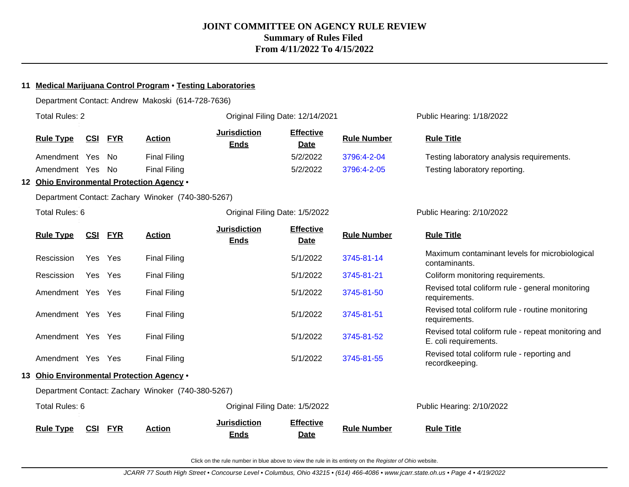| 11 | <b>Medical Marijuana Control Program . Testing Laboratories</b> |            |            |                                                    |                                    |                                  |                    |                                                                              |  |  |
|----|-----------------------------------------------------------------|------------|------------|----------------------------------------------------|------------------------------------|----------------------------------|--------------------|------------------------------------------------------------------------------|--|--|
|    |                                                                 |            |            | Department Contact: Andrew Makoski (614-728-7636)  |                                    |                                  |                    |                                                                              |  |  |
|    | <b>Total Rules: 2</b>                                           |            |            |                                                    |                                    | Original Filing Date: 12/14/2021 |                    | Public Hearing: 1/18/2022                                                    |  |  |
|    | <b>Rule Type</b>                                                | <u>CSI</u> | <b>FYR</b> | <b>Action</b>                                      | <b>Jurisdiction</b><br><b>Ends</b> | <b>Effective</b><br>Date         | <b>Rule Number</b> | <b>Rule Title</b>                                                            |  |  |
|    | Amendment Yes                                                   |            | No         | <b>Final Filing</b>                                |                                    | 5/2/2022                         | 3796:4-2-04        | Testing laboratory analysis requirements.                                    |  |  |
|    | Amendment Yes                                                   |            | - No       | <b>Final Filing</b>                                |                                    | 5/2/2022                         | 3796:4-2-05        | Testing laboratory reporting.                                                |  |  |
|    |                                                                 |            |            | 12 Ohio Environmental Protection Agency .          |                                    |                                  |                    |                                                                              |  |  |
|    |                                                                 |            |            | Department Contact: Zachary Winoker (740-380-5267) |                                    |                                  |                    |                                                                              |  |  |
|    | Total Rules: 6                                                  |            |            |                                                    |                                    | Original Filing Date: 1/5/2022   |                    | Public Hearing: 2/10/2022                                                    |  |  |
|    | <b>Rule Type</b>                                                | <u>CSI</u> | <b>FYR</b> | <b>Action</b>                                      | <b>Jurisdiction</b><br><b>Ends</b> | <b>Effective</b><br>Date         | <b>Rule Number</b> | <b>Rule Title</b>                                                            |  |  |
|    | Rescission                                                      | Yes        | Yes        | <b>Final Filing</b>                                |                                    | 5/1/2022                         | 3745-81-14         | Maximum contaminant levels for microbiological<br>contaminants.              |  |  |
|    | Rescission                                                      | Yes Yes    |            | <b>Final Filing</b>                                |                                    | 5/1/2022                         | 3745-81-21         | Coliform monitoring requirements.                                            |  |  |
|    | Amendment Yes Yes                                               |            |            | <b>Final Filing</b>                                |                                    | 5/1/2022                         | 3745-81-50         | Revised total coliform rule - general monitoring<br>requirements.            |  |  |
|    | Amendment Yes Yes                                               |            |            | <b>Final Filing</b>                                |                                    | 5/1/2022                         | 3745-81-51         | Revised total coliform rule - routine monitoring<br>requirements.            |  |  |
|    | Amendment Yes Yes                                               |            |            | <b>Final Filing</b>                                |                                    | 5/1/2022                         | 3745-81-52         | Revised total coliform rule - repeat monitoring and<br>E. coli requirements. |  |  |
|    | Amendment Yes Yes                                               |            |            | <b>Final Filing</b>                                |                                    | 5/1/2022                         | 3745-81-55         | Revised total coliform rule - reporting and<br>recordkeeping.                |  |  |
|    |                                                                 |            |            | 13 Ohio Environmental Protection Agency .          |                                    |                                  |                    |                                                                              |  |  |
|    |                                                                 |            |            | Department Contact: Zachary Winoker (740-380-5267) |                                    |                                  |                    |                                                                              |  |  |
|    | Total Rules: 6                                                  |            |            |                                                    |                                    | Original Filing Date: 1/5/2022   |                    | Public Hearing: 2/10/2022                                                    |  |  |
|    | <b>Rule Type</b>                                                | CSI        | <b>FYR</b> | <b>Action</b>                                      | <b>Jurisdiction</b><br><b>Ends</b> | <b>Effective</b><br><b>Date</b>  | <b>Rule Number</b> | <b>Rule Title</b>                                                            |  |  |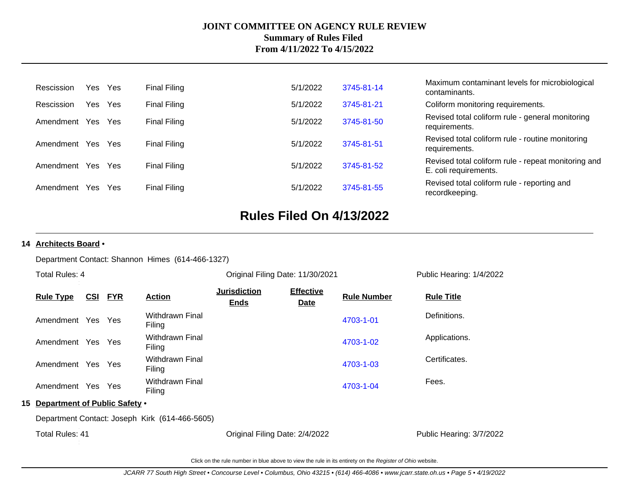| Rescission        | Yes Yes |     | Final Filing        | 5/1/2022 | 3745-81-14 | Maximum contaminant levels for microbiological<br>contaminants.              |
|-------------------|---------|-----|---------------------|----------|------------|------------------------------------------------------------------------------|
| Rescission        | Yes     | Yes | <b>Final Filing</b> | 5/1/2022 | 3745-81-21 | Coliform monitoring requirements.                                            |
| Amendment Yes     |         | Yes | <b>Final Filing</b> | 5/1/2022 | 3745-81-50 | Revised total coliform rule - general monitoring<br>requirements.            |
| Amendment         | Yes     | Yes | Final Filing        | 5/1/2022 | 3745-81-51 | Revised total coliform rule - routine monitoring<br>requirements.            |
| Amendment Yes Yes |         |     | <b>Final Filing</b> | 5/1/2022 | 3745-81-52 | Revised total coliform rule - repeat monitoring and<br>E. coli requirements. |
| Amendment         | Yes     | Yes | <b>Final Filing</b> | 5/1/2022 | 3745-81-55 | Revised total coliform rule - reporting and<br>recordkeeping.                |

## **Rules Filed On 4/13/2022**

#### **14 Architects Board** •

Department Contact: Shannon Himes (614-466-1327)

| Public Hearing: 1/4/2022 |
|--------------------------|
|                          |
|                          |
| Applications.            |
|                          |
|                          |
|                          |
|                          |
| Public Hearing: 3/7/2022 |
|                          |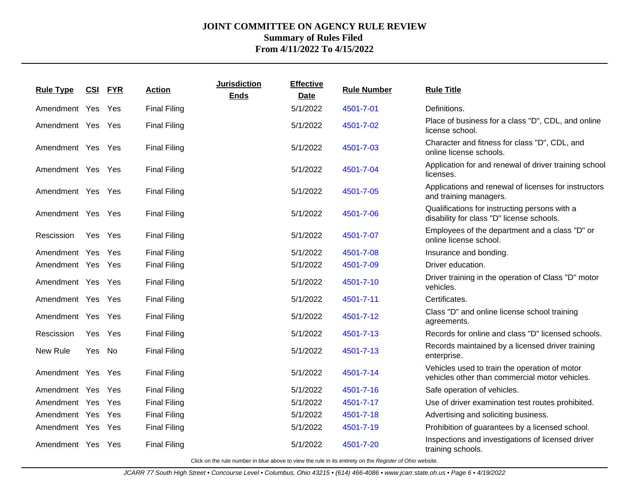| <b>Rule Type</b>  |         | <b>CSI FYR</b> | <b>Action</b>       | <b>Jurisdiction</b><br><b>Ends</b> | <b>Effective</b><br><b>Date</b> | <b>Rule Number</b> | <b>Rule Title</b>                                                                               |
|-------------------|---------|----------------|---------------------|------------------------------------|---------------------------------|--------------------|-------------------------------------------------------------------------------------------------|
| Amendment Yes Yes |         |                | <b>Final Filing</b> |                                    | 5/1/2022                        | 4501-7-01          | Definitions.                                                                                    |
| Amendment Yes Yes |         |                | <b>Final Filing</b> |                                    | 5/1/2022                        | 4501-7-02          | Place of business for a class "D", CDL, and online<br>license school.                           |
| Amendment Yes Yes |         |                | <b>Final Filing</b> |                                    | 5/1/2022                        | 4501-7-03          | Character and fitness for class "D", CDL, and<br>online license schools.                        |
| Amendment Yes Yes |         |                | <b>Final Filing</b> |                                    | 5/1/2022                        | 4501-7-04          | Application for and renewal of driver training school<br>licenses.                              |
| Amendment Yes Yes |         |                | <b>Final Filing</b> |                                    | 5/1/2022                        | 4501-7-05          | Applications and renewal of licenses for instructors<br>and training managers.                  |
| Amendment Yes Yes |         |                | <b>Final Filing</b> |                                    | 5/1/2022                        | 4501-7-06          | Qualifications for instructing persons with a<br>disability for class "D" license schools.      |
| Rescission        | Yes Yes |                | <b>Final Filing</b> |                                    | 5/1/2022                        | 4501-7-07          | Employees of the department and a class "D" or<br>online license school.                        |
| Amendment Yes Yes |         |                | <b>Final Filing</b> |                                    | 5/1/2022                        | 4501-7-08          | Insurance and bonding.                                                                          |
| Amendment Yes Yes |         |                | <b>Final Filing</b> |                                    | 5/1/2022                        | 4501-7-09          | Driver education.                                                                               |
| Amendment Yes Yes |         |                | <b>Final Filing</b> |                                    | 5/1/2022                        | 4501-7-10          | Driver training in the operation of Class "D" motor<br>vehicles.                                |
| Amendment Yes Yes |         |                | <b>Final Filing</b> |                                    | 5/1/2022                        | 4501-7-11          | Certificates.                                                                                   |
| Amendment Yes Yes |         |                | <b>Final Filing</b> |                                    | 5/1/2022                        | 4501-7-12          | Class "D" and online license school training<br>agreements.                                     |
| Rescission        | Yes Yes |                | <b>Final Filing</b> |                                    | 5/1/2022                        | 4501-7-13          | Records for online and class "D" licensed schools.                                              |
| New Rule          | Yes No  |                | <b>Final Filing</b> |                                    | 5/1/2022                        | 4501-7-13          | Records maintained by a licensed driver training<br>enterprise.                                 |
| Amendment Yes Yes |         |                | <b>Final Filing</b> |                                    | 5/1/2022                        | 4501-7-14          | Vehicles used to train the operation of motor<br>vehicles other than commercial motor vehicles. |
| Amendment Yes Yes |         |                | <b>Final Filing</b> |                                    | 5/1/2022                        | 4501-7-16          | Safe operation of vehicles.                                                                     |
| Amendment Yes Yes |         |                | <b>Final Filing</b> |                                    | 5/1/2022                        | 4501-7-17          | Use of driver examination test routes prohibited.                                               |
| Amendment Yes Yes |         |                | <b>Final Filing</b> |                                    | 5/1/2022                        | 4501-7-18          | Advertising and soliciting business.                                                            |
| Amendment Yes Yes |         |                | <b>Final Filing</b> |                                    | 5/1/2022                        | 4501-7-19          | Prohibition of guarantees by a licensed school.                                                 |
| Amendment Yes Yes |         |                | <b>Final Filing</b> |                                    | 5/1/2022                        | 4501-7-20          | Inspections and investigations of licensed driver<br>training schools.                          |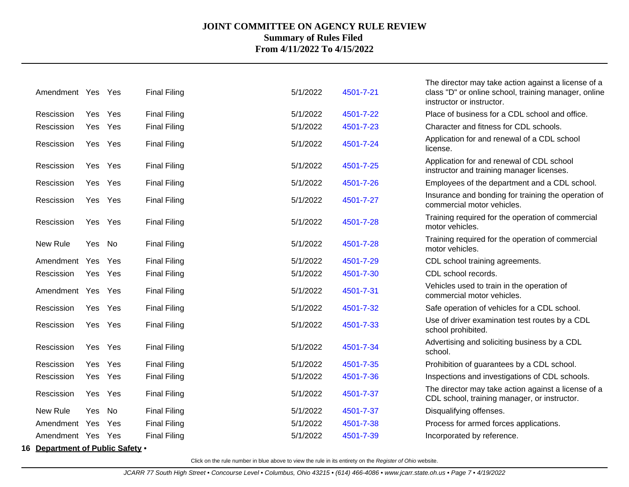| Amendment Yes Yes                |         |     | <b>Final Filing</b> | 5/1/2022 | 4501-7-21 | The director may take action against a license of a<br>class "D" or online school, training manager, online<br>instructor or instructor. |
|----------------------------------|---------|-----|---------------------|----------|-----------|------------------------------------------------------------------------------------------------------------------------------------------|
| Rescission                       | Yes     | Yes | <b>Final Filing</b> | 5/1/2022 | 4501-7-22 | Place of business for a CDL school and office.                                                                                           |
| Rescission                       | Yes     | Yes | <b>Final Filing</b> | 5/1/2022 | 4501-7-23 | Character and fitness for CDL schools.                                                                                                   |
| Rescission                       | Yes Yes |     | <b>Final Filing</b> | 5/1/2022 | 4501-7-24 | Application for and renewal of a CDL school<br>license.                                                                                  |
| Rescission                       | Yes Yes |     | <b>Final Filing</b> | 5/1/2022 | 4501-7-25 | Application for and renewal of CDL school<br>instructor and training manager licenses.                                                   |
| Rescission                       | Yes     | Yes | <b>Final Filing</b> | 5/1/2022 | 4501-7-26 | Employees of the department and a CDL school.                                                                                            |
| Rescission                       | Yes Yes |     | <b>Final Filing</b> | 5/1/2022 | 4501-7-27 | Insurance and bonding for training the operation of<br>commercial motor vehicles.                                                        |
| Rescission                       | Yes     | Yes | <b>Final Filing</b> | 5/1/2022 | 4501-7-28 | Training required for the operation of commercial<br>motor vehicles.                                                                     |
| New Rule                         | Yes No  |     | <b>Final Filing</b> | 5/1/2022 | 4501-7-28 | Training required for the operation of commercial<br>motor vehicles.                                                                     |
| Amendment                        | Yes     | Yes | <b>Final Filing</b> | 5/1/2022 | 4501-7-29 | CDL school training agreements.                                                                                                          |
| Rescission                       | Yes     | Yes | <b>Final Filing</b> | 5/1/2022 | 4501-7-30 | CDL school records.                                                                                                                      |
| Amendment Yes                    |         | Yes | <b>Final Filing</b> | 5/1/2022 | 4501-7-31 | Vehicles used to train in the operation of<br>commercial motor vehicles.                                                                 |
| Rescission                       | Yes     | Yes | <b>Final Filing</b> | 5/1/2022 | 4501-7-32 | Safe operation of vehicles for a CDL school.                                                                                             |
| Rescission                       | Yes Yes |     | <b>Final Filing</b> | 5/1/2022 | 4501-7-33 | Use of driver examination test routes by a CDL<br>school prohibited.                                                                     |
| Rescission                       | Yes     | Yes | <b>Final Filing</b> | 5/1/2022 | 4501-7-34 | Advertising and soliciting business by a CDL<br>school.                                                                                  |
| Rescission                       | Yes     | Yes | <b>Final Filing</b> | 5/1/2022 | 4501-7-35 | Prohibition of guarantees by a CDL school.                                                                                               |
| Rescission                       | Yes     | Yes | <b>Final Filing</b> | 5/1/2022 | 4501-7-36 | Inspections and investigations of CDL schools.                                                                                           |
| Rescission                       | Yes     | Yes | <b>Final Filing</b> | 5/1/2022 | 4501-7-37 | The director may take action against a license of a<br>CDL school, training manager, or instructor.                                      |
| New Rule                         | Yes     | No  | <b>Final Filing</b> | 5/1/2022 | 4501-7-37 | Disqualifying offenses.                                                                                                                  |
| Amendment Yes                    |         | Yes | <b>Final Filing</b> | 5/1/2022 | 4501-7-38 | Process for armed forces applications.                                                                                                   |
| Amendment Yes Yes                |         |     | <b>Final Filing</b> | 5/1/2022 | 4501-7-39 | Incorporated by reference.                                                                                                               |
| 16 Department of Public Safety . |         |     |                     |          |           |                                                                                                                                          |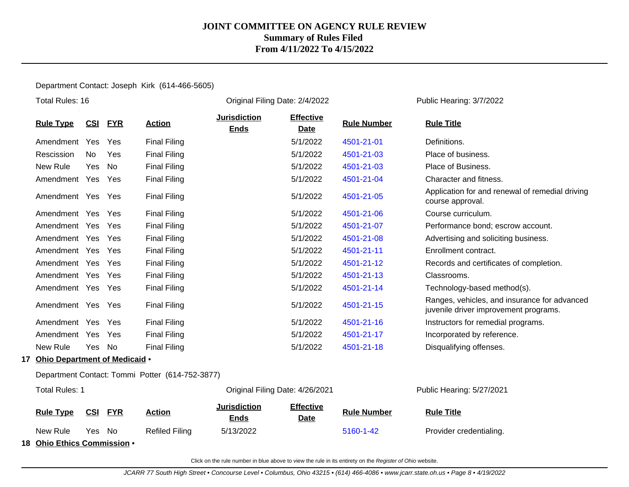Department Contact: Joseph Kirk (614-466-5605)

| Total Rules: 16                     |     |            |                                                 |                                    | Original Filing Date: 2/4/2022  |                    | Public Hearing: 3/7/2022                                                              |  |
|-------------------------------------|-----|------------|-------------------------------------------------|------------------------------------|---------------------------------|--------------------|---------------------------------------------------------------------------------------|--|
| <b>Rule Type</b>                    | CSI | <u>FYR</u> | <b>Action</b>                                   | <b>Jurisdiction</b><br><b>Ends</b> | <b>Effective</b><br><b>Date</b> | <b>Rule Number</b> | <b>Rule Title</b>                                                                     |  |
| Amendment                           | Yes | Yes        | <b>Final Filing</b>                             |                                    | 5/1/2022                        | 4501-21-01         | Definitions.                                                                          |  |
| Rescission                          | No  | Yes        | <b>Final Filing</b>                             |                                    | 5/1/2022                        | 4501-21-03         | Place of business.                                                                    |  |
| New Rule                            | Yes | No         | <b>Final Filing</b>                             |                                    | 5/1/2022                        | 4501-21-03         | Place of Business.                                                                    |  |
| Amendment Yes                       |     | Yes        | <b>Final Filing</b>                             |                                    | 5/1/2022                        | 4501-21-04         | Character and fitness.                                                                |  |
| Amendment Yes                       |     | Yes        | <b>Final Filing</b>                             |                                    | 5/1/2022                        | 4501-21-05         | Application for and renewal of remedial driving<br>course approval.                   |  |
| Amendment Yes                       |     | Yes        | <b>Final Filing</b>                             |                                    | 5/1/2022                        | 4501-21-06         | Course curriculum.                                                                    |  |
| Amendment Yes                       |     | Yes        | <b>Final Filing</b>                             |                                    | 5/1/2022                        | 4501-21-07         | Performance bond; escrow account.                                                     |  |
| Amendment Yes                       |     | Yes        | <b>Final Filing</b>                             |                                    | 5/1/2022                        | 4501-21-08         | Advertising and soliciting business.                                                  |  |
| Amendment Yes                       |     | Yes        | <b>Final Filing</b>                             |                                    | 5/1/2022                        | 4501-21-11         | Enrollment contract.                                                                  |  |
| Amendment Yes                       |     | Yes        | <b>Final Filing</b>                             |                                    | 5/1/2022                        | 4501-21-12         | Records and certificates of completion.                                               |  |
| Amendment Yes                       |     | Yes        | <b>Final Filing</b>                             |                                    | 5/1/2022                        | 4501-21-13         | Classrooms.                                                                           |  |
| Amendment Yes                       |     | Yes        | <b>Final Filing</b>                             |                                    | 5/1/2022                        | 4501-21-14         | Technology-based method(s).                                                           |  |
| Amendment Yes Yes                   |     |            | <b>Final Filing</b>                             |                                    | 5/1/2022                        | 4501-21-15         | Ranges, vehicles, and insurance for advanced<br>juvenile driver improvement programs. |  |
| Amendment Yes                       |     | Yes        | <b>Final Filing</b>                             |                                    | 5/1/2022                        | 4501-21-16         | Instructors for remedial programs.                                                    |  |
| Amendment Yes                       |     | Yes        | <b>Final Filing</b>                             |                                    | 5/1/2022                        | 4501-21-17         | Incorporated by reference.                                                            |  |
| New Rule                            | Yes | No         | <b>Final Filing</b>                             |                                    | 5/1/2022                        | 4501-21-18         | Disqualifying offenses.                                                               |  |
| Ohio Department of Medicaid .<br>17 |     |            |                                                 |                                    |                                 |                    |                                                                                       |  |
|                                     |     |            | Department Contact: Tommi Potter (614-752-3877) |                                    |                                 |                    |                                                                                       |  |
| <b>Total Rules: 1</b>               |     |            |                                                 |                                    | Original Filing Date: 4/26/2021 |                    | Public Hearing: 5/27/2021                                                             |  |
|                                     |     |            |                                                 | . Iurisdiction                     | <b>Fffective</b>                |                    |                                                                                       |  |

**Rule Type CSI FYR Action Jurisdiction Ends Effective Date Rule Number Rule Title** New Rule Yes No Refiled Filing 5/13/2022 [5160-1-42](http://www.registerofohio.state.oh.us/jsps/publicdisplayrules/processPublicDisplayRules.jsp?entered_rule_no=5160-1-42&doWhat=GETBYRULENUM&raID=0) Provider credentialing.

**18 Ohio Ethics Commission** •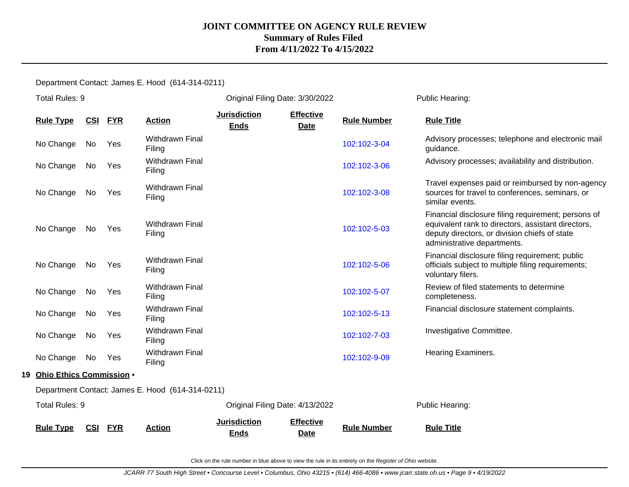Department Contact: James E. Hood (614-314-0211)

|    | Total Rules: 9           |            |            |                                                  |                                    | Original Filing Date: 3/30/2022 |                    | Public Hearing:                                                                                                                                                                           |  |
|----|--------------------------|------------|------------|--------------------------------------------------|------------------------------------|---------------------------------|--------------------|-------------------------------------------------------------------------------------------------------------------------------------------------------------------------------------------|--|
|    | <b>Rule Type</b>         | <u>CSI</u> | <b>FYR</b> | <b>Action</b>                                    | <b>Jurisdiction</b><br><b>Ends</b> | <b>Effective</b><br><b>Date</b> | <b>Rule Number</b> | <b>Rule Title</b>                                                                                                                                                                         |  |
|    | No Change                | No         | Yes        | <b>Withdrawn Final</b><br>Filing                 |                                    |                                 | 102:102-3-04       | Advisory processes; telephone and electronic mail<br>guidance.                                                                                                                            |  |
|    | No Change                | No         | Yes        | Withdrawn Final<br>Filing                        |                                    |                                 | 102:102-3-06       | Advisory processes; availability and distribution.                                                                                                                                        |  |
|    | No Change                | No         | Yes        | <b>Withdrawn Final</b><br>Filing                 |                                    |                                 | 102:102-3-08       | Travel expenses paid or reimbursed by non-agency<br>sources for travel to conferences, seminars, or<br>similar events.                                                                    |  |
|    | No Change                | No         | Yes        | <b>Withdrawn Final</b><br>Filing                 |                                    |                                 | 102:102-5-03       | Financial disclosure filing requirement; persons of<br>equivalent rank to directors, assistant directors,<br>deputy directors, or division chiefs of state<br>administrative departments. |  |
|    | No Change                | No         | Yes        | <b>Withdrawn Final</b><br>Filing                 |                                    |                                 | 102:102-5-06       | Financial disclosure filing requirement; public<br>officials subject to multiple filing requirements;<br>voluntary filers.                                                                |  |
|    | No Change                | No         | Yes        | <b>Withdrawn Final</b><br>Filing                 |                                    |                                 | 102:102-5-07       | Review of filed statements to determine<br>completeness.                                                                                                                                  |  |
|    | No Change                | No         | Yes        | <b>Withdrawn Final</b><br>Filing                 |                                    |                                 | 102:102-5-13       | Financial disclosure statement complaints.                                                                                                                                                |  |
|    | No Change                | No         | Yes        | <b>Withdrawn Final</b><br>Filing                 |                                    |                                 | 102:102-7-03       | Investigative Committee.                                                                                                                                                                  |  |
|    | No Change                | No         | Yes        | Withdrawn Final<br>Filing                        |                                    |                                 | 102:102-9-09       | Hearing Examiners.                                                                                                                                                                        |  |
| 19 | Ohio Ethics Commission . |            |            |                                                  |                                    |                                 |                    |                                                                                                                                                                                           |  |
|    |                          |            |            | Department Contact: James E. Hood (614-314-0211) |                                    |                                 |                    |                                                                                                                                                                                           |  |
|    | Total Rules: 9           |            |            |                                                  |                                    | Original Filing Date: 4/13/2022 |                    | Public Hearing:                                                                                                                                                                           |  |
|    | <b>Rule Type</b>         | CSI        | <b>FYR</b> | <b>Action</b>                                    | <b>Jurisdiction</b><br><b>Ends</b> | <b>Effective</b><br><b>Date</b> | <b>Rule Number</b> | <b>Rule Title</b>                                                                                                                                                                         |  |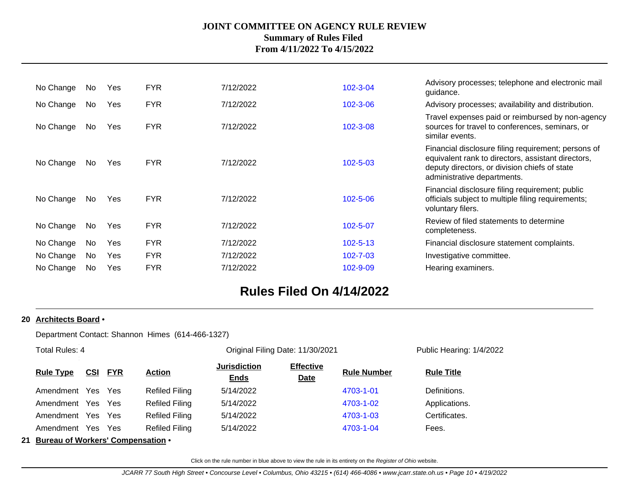| No Change | No. | Yes | <b>FYR</b> | 7/12/2022 | 102-3-04       | Advisory processes; telephone and electronic mail<br>guidance.                                                                                                                            |
|-----------|-----|-----|------------|-----------|----------------|-------------------------------------------------------------------------------------------------------------------------------------------------------------------------------------------|
| No Change | No. | Yes | <b>FYR</b> | 7/12/2022 | 102-3-06       | Advisory processes; availability and distribution.                                                                                                                                        |
| No Change | No  | Yes | <b>FYR</b> | 7/12/2022 | $102 - 3 - 08$ | Travel expenses paid or reimbursed by non-agency<br>sources for travel to conferences, seminars, or<br>similar events.                                                                    |
| No Change | No. | Yes | <b>FYR</b> | 7/12/2022 | $102 - 5 - 03$ | Financial disclosure filing requirement; persons of<br>equivalent rank to directors, assistant directors,<br>deputy directors, or division chiefs of state<br>administrative departments. |
| No Change | No  | Yes | <b>FYR</b> | 7/12/2022 | 102-5-06       | Financial disclosure filing requirement; public<br>officials subject to multiple filing requirements;<br>voluntary filers.                                                                |
| No Change | No  | Yes | <b>FYR</b> | 7/12/2022 | 102-5-07       | Review of filed statements to determine<br>completeness.                                                                                                                                  |
| No Change | No. | Yes | <b>FYR</b> | 7/12/2022 | $102 - 5 - 13$ | Financial disclosure statement complaints.                                                                                                                                                |
| No Change | No  | Yes | <b>FYR</b> | 7/12/2022 | $102 - 7 - 03$ | Investigative committee.                                                                                                                                                                  |
| No Change | No. | Yes | <b>FYR</b> | 7/12/2022 | $102 - 9 - 09$ | Hearing examiners.                                                                                                                                                                        |
|           |     |     |            |           |                |                                                                                                                                                                                           |

## **Rules Filed On 4/14/2022**

#### **20 Architects Board** •

Department Contact: Shannon Himes (614-466-1327)

| Total Rules: 4                       |            |            |                       |                                    | Original Filing Date: 11/30/2021 | Public Hearing: 1/4/2022 |                   |
|--------------------------------------|------------|------------|-----------------------|------------------------------------|----------------------------------|--------------------------|-------------------|
| <b>Rule Type</b>                     | <b>CSI</b> | <b>FYR</b> | <b>Action</b>         | <b>Jurisdiction</b><br><b>Ends</b> | <b>Effective</b><br><b>Date</b>  | <b>Rule Number</b>       | <b>Rule Title</b> |
| Amendment Yes                        |            | Yes        | Refiled Filing        | 5/14/2022                          |                                  | 4703-1-01                | Definitions.      |
| Amendment Yes                        |            | Yes        | <b>Refiled Filing</b> | 5/14/2022                          |                                  | 4703-1-02                | Applications.     |
| Amendment Yes                        |            | Yes        | <b>Refiled Filing</b> | 5/14/2022                          |                                  | 4703-1-03                | Certificates.     |
| Amendment Yes Yes                    |            |            | <b>Refiled Filing</b> | 5/14/2022                          |                                  | 4703-1-04                | Fees.             |
| 21 Bureau of Workers' Compensation . |            |            |                       |                                    |                                  |                          |                   |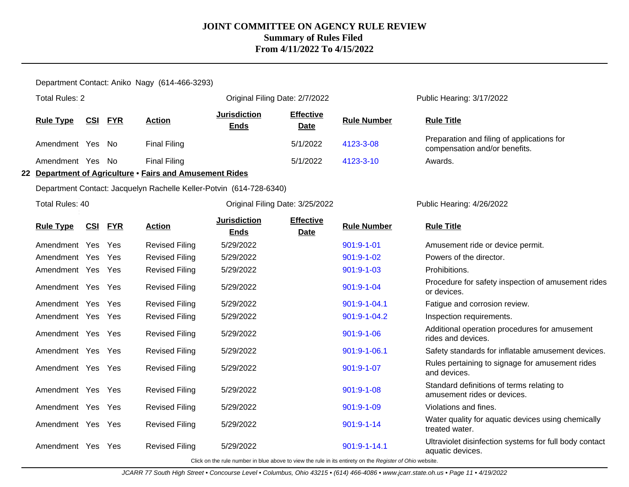Department Contact: Aniko Nagy (614-466-3293)

| <b>Total Rules: 2</b> |            |                |                                                                     |                                    | Original Filing Date: 2/7/2022  |                                                                                                          | Public Hearing: 3/17/2022                                                   |
|-----------------------|------------|----------------|---------------------------------------------------------------------|------------------------------------|---------------------------------|----------------------------------------------------------------------------------------------------------|-----------------------------------------------------------------------------|
| <b>Rule Type</b>      |            | <b>CSI FYR</b> | <b>Action</b>                                                       | <b>Jurisdiction</b><br><b>Ends</b> | <b>Effective</b><br><b>Date</b> | <b>Rule Number</b>                                                                                       | <b>Rule Title</b>                                                           |
| Amendment Yes         |            | No             | <b>Final Filing</b>                                                 |                                    | 5/1/2022                        | 4123-3-08                                                                                                | Preparation and filing of applications for<br>compensation and/or benefits. |
| Amendment Yes         |            | No             | <b>Final Filing</b>                                                 |                                    | 5/1/2022                        | 4123-3-10                                                                                                | Awards.                                                                     |
|                       |            |                | 22 Department of Agriculture · Fairs and Amusement Rides            |                                    |                                 |                                                                                                          |                                                                             |
|                       |            |                | Department Contact: Jacquelyn Rachelle Keller-Potvin (614-728-6340) |                                    |                                 |                                                                                                          |                                                                             |
| Total Rules: 40       |            |                |                                                                     |                                    | Original Filing Date: 3/25/2022 |                                                                                                          | Public Hearing: 4/26/2022                                                   |
| <b>Rule Type</b>      | <u>CSI</u> | <b>FYR</b>     | <b>Action</b>                                                       | <b>Jurisdiction</b><br><b>Ends</b> | <b>Effective</b><br><b>Date</b> | <b>Rule Number</b>                                                                                       | <b>Rule Title</b>                                                           |
| Amendment Yes         |            | Yes            | <b>Revised Filing</b>                                               | 5/29/2022                          |                                 | $901:9 - 1 - 01$                                                                                         | Amusement ride or device permit.                                            |
| Amendment Yes         |            | Yes            | <b>Revised Filing</b>                                               | 5/29/2022                          |                                 | $901:9 - 1 - 02$                                                                                         | Powers of the director.                                                     |
| Amendment Yes Yes     |            |                | <b>Revised Filing</b>                                               | 5/29/2022                          |                                 | 901:9-1-03                                                                                               | Prohibitions.                                                               |
| Amendment Yes Yes     |            |                | <b>Revised Filing</b>                                               | 5/29/2022                          |                                 | 901:9-1-04                                                                                               | Procedure for safety inspection of amusement rides<br>or devices.           |
| Amendment Yes         |            | Yes            | <b>Revised Filing</b>                                               | 5/29/2022                          |                                 | 901:9-1-04.1                                                                                             | Fatigue and corrosion review.                                               |
| Amendment Yes Yes     |            |                | <b>Revised Filing</b>                                               | 5/29/2022                          |                                 | 901:9-1-04.2                                                                                             | Inspection requirements.                                                    |
| Amendment Yes Yes     |            |                | <b>Revised Filing</b>                                               | 5/29/2022                          |                                 | $901:9 - 1 - 06$                                                                                         | Additional operation procedures for amusement<br>rides and devices.         |
| Amendment Yes Yes     |            |                | <b>Revised Filing</b>                                               | 5/29/2022                          |                                 | 901:9-1-06.1                                                                                             | Safety standards for inflatable amusement devices.                          |
| Amendment Yes Yes     |            |                | <b>Revised Filing</b>                                               | 5/29/2022                          |                                 | 901:9-1-07                                                                                               | Rules pertaining to signage for amusement rides<br>and devices.             |
| Amendment Yes Yes     |            |                | <b>Revised Filing</b>                                               | 5/29/2022                          |                                 | 901:9-1-08                                                                                               | Standard definitions of terms relating to<br>amusement rides or devices.    |
| Amendment Yes Yes     |            |                | <b>Revised Filing</b>                                               | 5/29/2022                          |                                 | 901:9-1-09                                                                                               | Violations and fines.                                                       |
| Amendment Yes Yes     |            |                | <b>Revised Filing</b>                                               | 5/29/2022                          |                                 | $901:9 - 1 - 14$                                                                                         | Water quality for aquatic devices using chemically<br>treated water.        |
| Amendment Yes Yes     |            |                | <b>Revised Filing</b>                                               | 5/29/2022                          |                                 | 901:9-1-14.1                                                                                             | Ultraviolet disinfection systems for full body contact<br>aquatic devices.  |
|                       |            |                |                                                                     |                                    |                                 | Click on the rule number in blue above to view the rule in its entirety on the Register of Ohio website. |                                                                             |

JCARR 77 South High Street • Concourse Level • Columbus, Ohio 43215 • (614) 466-4086 • www.jcarr.state.oh.us • Page 11 • 4/19/2022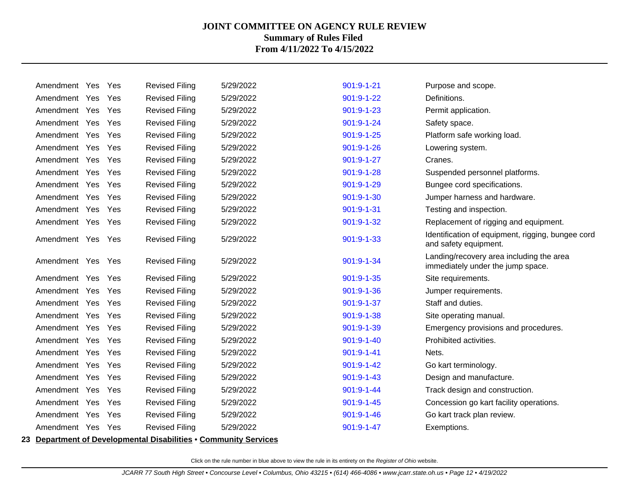| Amendment Yes     | Yes        | <b>Revised Filing</b> | 5/29/2022 | $901:9 - 1 - 21$ | Purpose and scope.                                                            |
|-------------------|------------|-----------------------|-----------|------------------|-------------------------------------------------------------------------------|
| Amendment Yes     | Yes        | <b>Revised Filing</b> | 5/29/2022 | 901:9-1-22       | Definitions.                                                                  |
| Amendment Yes     | Yes        | <b>Revised Filing</b> | 5/29/2022 | 901:9-1-23       | Permit application.                                                           |
| Amendment Yes     | Yes        | <b>Revised Filing</b> | 5/29/2022 | 901:9-1-24       | Safety space.                                                                 |
| Amendment Yes     | Yes        | <b>Revised Filing</b> | 5/29/2022 | 901:9-1-25       | Platform safe working load.                                                   |
| Amendment Yes     | Yes        | <b>Revised Filing</b> | 5/29/2022 | $901:9 - 1 - 26$ | Lowering system.                                                              |
| Amendment Yes     | Yes        | <b>Revised Filing</b> | 5/29/2022 | 901:9-1-27       | Cranes.                                                                       |
| Amendment Yes     | Yes        | <b>Revised Filing</b> | 5/29/2022 | 901:9-1-28       | Suspended personnel platforms.                                                |
| Amendment Yes     | Yes        | <b>Revised Filing</b> | 5/29/2022 | 901:9-1-29       | Bungee cord specifications.                                                   |
| Amendment Yes     | <b>Yes</b> | <b>Revised Filing</b> | 5/29/2022 | 901:9-1-30       | Jumper harness and hardware.                                                  |
| Amendment Yes     | Yes        | <b>Revised Filing</b> | 5/29/2022 | 901:9-1-31       | Testing and inspection.                                                       |
| Amendment Yes     | Yes        | <b>Revised Filing</b> | 5/29/2022 | 901:9-1-32       | Replacement of rigging and equipment.                                         |
| Amendment Yes Yes |            | <b>Revised Filing</b> | 5/29/2022 | 901:9-1-33       | Identification of equipment, rigging, bungee cord<br>and safety equipment.    |
| Amendment Yes Yes |            | <b>Revised Filing</b> | 5/29/2022 | 901:9-1-34       | Landing/recovery area including the area<br>immediately under the jump space. |
| Amendment Yes     | <b>Yes</b> | <b>Revised Filing</b> | 5/29/2022 | 901:9-1-35       | Site requirements.                                                            |
| Amendment Yes     | Yes        | <b>Revised Filing</b> | 5/29/2022 | 901:9-1-36       | Jumper requirements.                                                          |
| Amendment Yes     | <b>Yes</b> | <b>Revised Filing</b> | 5/29/2022 | 901:9-1-37       | Staff and duties.                                                             |
| Amendment Yes     | Yes        | <b>Revised Filing</b> | 5/29/2022 | 901:9-1-38       | Site operating manual.                                                        |
| Amendment Yes     | Yes        | <b>Revised Filing</b> | 5/29/2022 | 901:9-1-39       | Emergency provisions and procedures.                                          |
| Amendment Yes     | <b>Yes</b> | <b>Revised Filing</b> | 5/29/2022 | 901:9-1-40       | Prohibited activities.                                                        |
| Amendment Yes     | Yes        | <b>Revised Filing</b> | 5/29/2022 | $901:9 - 1 - 41$ | Nets.                                                                         |
| Amendment Yes     | Yes        | <b>Revised Filing</b> | 5/29/2022 | $901:9 - 1 - 42$ | Go kart terminology.                                                          |
| Amendment Yes     | Yes        | <b>Revised Filing</b> | 5/29/2022 | 901:9-1-43       | Design and manufacture.                                                       |
| Amendment Yes     | Yes        | <b>Revised Filing</b> | 5/29/2022 | $901:9 - 1 - 44$ | Track design and construction.                                                |
| Amendment Yes     | Yes        | <b>Revised Filing</b> | 5/29/2022 | $901:9 - 1 - 45$ | Concession go kart facility operations.                                       |
| Amendment Yes     | Yes        | <b>Revised Filing</b> | 5/29/2022 | $901:9 - 1 - 46$ | Go kart track plan review.                                                    |
| Amendment Yes Yes |            | <b>Revised Filing</b> | 5/29/2022 | 901:9-1-47       | Exemptions.                                                                   |
|                   |            |                       |           |                  |                                                                               |

**23 Department of Developmental Disabilities** • **Community Services**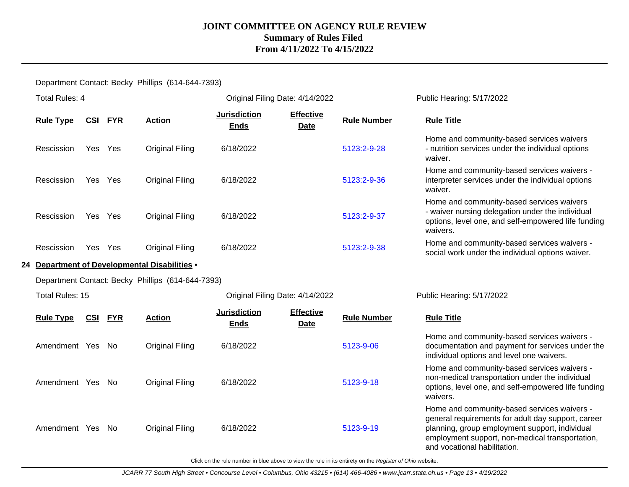## Department Contact: Becky Phillips (614-644-7393)

| <b>Total Rules: 4</b> |            |            |                                                   | Original Filing Date: 4/14/2022    |                                 |                    | Public Hearing: 5/17/2022                                                                                                                                                                                                              |
|-----------------------|------------|------------|---------------------------------------------------|------------------------------------|---------------------------------|--------------------|----------------------------------------------------------------------------------------------------------------------------------------------------------------------------------------------------------------------------------------|
| <b>Rule Type</b>      | <u>CSI</u> | <b>FYR</b> | <b>Action</b>                                     | <b>Jurisdiction</b><br><b>Ends</b> | <b>Effective</b><br>Date        | <b>Rule Number</b> | <b>Rule Title</b>                                                                                                                                                                                                                      |
| Rescission            | Yes Yes    |            | <b>Original Filing</b>                            | 6/18/2022                          |                                 | 5123:2-9-28        | Home and community-based services waivers<br>- nutrition services under the individual options<br>waiver.                                                                                                                              |
| Rescission            | Yes Yes    |            | <b>Original Filing</b>                            | 6/18/2022                          |                                 | 5123:2-9-36        | Home and community-based services waivers -<br>interpreter services under the individual options<br>waiver.                                                                                                                            |
| Rescission            | Yes Yes    |            | <b>Original Filing</b>                            | 6/18/2022                          |                                 | 5123:2-9-37        | Home and community-based services waivers<br>- waiver nursing delegation under the individual<br>options, level one, and self-empowered life funding<br>waivers.                                                                       |
| Rescission            | Yes Yes    |            | <b>Original Filing</b>                            | 6/18/2022                          |                                 | 5123:2-9-38        | Home and community-based services waivers -<br>social work under the individual options waiver.                                                                                                                                        |
|                       |            |            | 24 Department of Developmental Disabilities .     |                                    |                                 |                    |                                                                                                                                                                                                                                        |
|                       |            |            | Department Contact: Becky Phillips (614-644-7393) |                                    |                                 |                    |                                                                                                                                                                                                                                        |
| Total Rules: 15       |            |            |                                                   | Original Filing Date: 4/14/2022    |                                 |                    | Public Hearing: 5/17/2022                                                                                                                                                                                                              |
| <b>Rule Type</b>      | <u>CSI</u> | <b>FYR</b> | <b>Action</b>                                     | <b>Jurisdiction</b><br><b>Ends</b> | <b>Effective</b><br><b>Date</b> | <b>Rule Number</b> | <b>Rule Title</b>                                                                                                                                                                                                                      |
| Amendment Yes No      |            |            | <b>Original Filing</b>                            | 6/18/2022                          |                                 | 5123-9-06          | Home and community-based services waivers -<br>documentation and payment for services under the<br>individual options and level one waivers.                                                                                           |
| Amendment Yes         |            | No         | <b>Original Filing</b>                            | 6/18/2022                          |                                 | 5123-9-18          | Home and community-based services waivers -<br>non-medical transportation under the individual<br>options, level one, and self-empowered life funding<br>waivers.                                                                      |
| Amendment Yes         |            | No         | <b>Original Filing</b>                            | 6/18/2022                          |                                 | 5123-9-19          | Home and community-based services waivers -<br>general requirements for adult day support, career<br>planning, group employment support, individual<br>employment support, non-medical transportation,<br>and vocational habilitation. |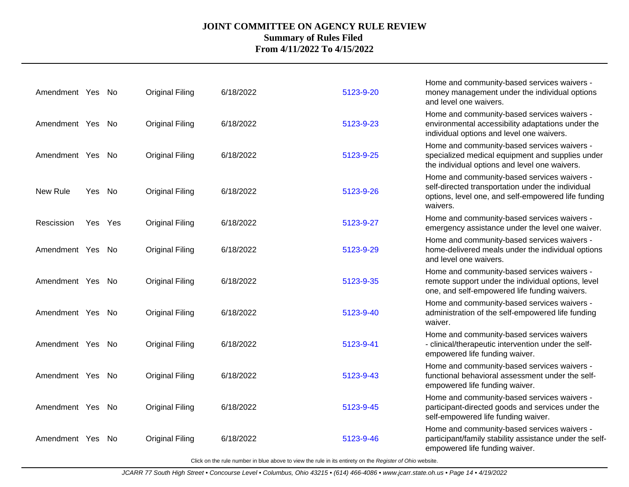| Amendment Yes No |     |         | <b>Original Filing</b> | 6/18/2022 | 5123-9-20 | Home and community-based services waivers -<br>money management under the individual options<br>and level one waivers.                                              |
|------------------|-----|---------|------------------------|-----------|-----------|---------------------------------------------------------------------------------------------------------------------------------------------------------------------|
| Amendment Yes No |     |         | <b>Original Filing</b> | 6/18/2022 | 5123-9-23 | Home and community-based services waivers -<br>environmental accessibility adaptations under the<br>individual options and level one waivers.                       |
| Amendment Yes No |     |         | <b>Original Filing</b> | 6/18/2022 | 5123-9-25 | Home and community-based services waivers -<br>specialized medical equipment and supplies under<br>the individual options and level one waivers.                    |
| New Rule         | Yes | No      | <b>Original Filing</b> | 6/18/2022 | 5123-9-26 | Home and community-based services waivers -<br>self-directed transportation under the individual<br>options, level one, and self-empowered life funding<br>waivers. |
| Rescission       |     | Yes Yes | <b>Original Filing</b> | 6/18/2022 | 5123-9-27 | Home and community-based services waivers -<br>emergency assistance under the level one waiver.                                                                     |
| Amendment Yes No |     |         | <b>Original Filing</b> | 6/18/2022 | 5123-9-29 | Home and community-based services waivers -<br>home-delivered meals under the individual options<br>and level one waivers.                                          |
| Amendment Yes No |     |         | <b>Original Filing</b> | 6/18/2022 | 5123-9-35 | Home and community-based services waivers -<br>remote support under the individual options, level<br>one, and self-empowered life funding waivers.                  |
| Amendment Yes No |     |         | <b>Original Filing</b> | 6/18/2022 | 5123-9-40 | Home and community-based services waivers -<br>administration of the self-empowered life funding<br>waiver.                                                         |
| Amendment Yes No |     |         | <b>Original Filing</b> | 6/18/2022 | 5123-9-41 | Home and community-based services waivers<br>- clinical/therapeutic intervention under the self-<br>empowered life funding waiver.                                  |
| Amendment Yes No |     |         | <b>Original Filing</b> | 6/18/2022 | 5123-9-43 | Home and community-based services waivers -<br>functional behavioral assessment under the self-<br>empowered life funding waiver.                                   |
| Amendment Yes No |     |         | <b>Original Filing</b> | 6/18/2022 | 5123-9-45 | Home and community-based services waivers -<br>participant-directed goods and services under the<br>self-empowered life funding waiver.                             |
| Amendment Yes    |     | . No    | <b>Original Filing</b> | 6/18/2022 | 5123-9-46 | Home and community-based services waivers -<br>participant/family stability assistance under the self-<br>empowered life funding waiver.                            |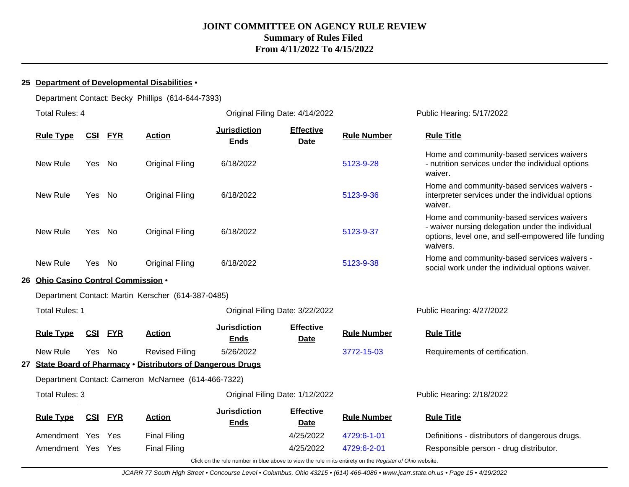#### **25 Department of Developmental Disabilities** •

Department Contact: Becky Phillips (614-644-7393)

|    | <b>Total Rules: 4</b>            |            |            |                                                                  | Original Filing Date: 4/14/2022                                                                          |                                 |                    | Public Hearing: 5/17/2022                                                                                                                                        |
|----|----------------------------------|------------|------------|------------------------------------------------------------------|----------------------------------------------------------------------------------------------------------|---------------------------------|--------------------|------------------------------------------------------------------------------------------------------------------------------------------------------------------|
|    | <b>Rule Type</b>                 | <b>CSI</b> | <b>FYR</b> | <b>Action</b>                                                    | <b>Jurisdiction</b><br><b>Ends</b>                                                                       | <b>Effective</b><br><b>Date</b> | <b>Rule Number</b> | <b>Rule Title</b>                                                                                                                                                |
|    | New Rule                         | Yes No     |            | <b>Original Filing</b>                                           | 6/18/2022                                                                                                |                                 | 5123-9-28          | Home and community-based services waivers<br>- nutrition services under the individual options<br>waiver.                                                        |
|    | New Rule                         | Yes No     |            | <b>Original Filing</b>                                           | 6/18/2022                                                                                                |                                 | 5123-9-36          | Home and community-based services waivers -<br>interpreter services under the individual options<br>waiver.                                                      |
|    | New Rule                         | Yes No     |            | <b>Original Filing</b>                                           | 6/18/2022                                                                                                |                                 | 5123-9-37          | Home and community-based services waivers<br>- waiver nursing delegation under the individual<br>options, level one, and self-empowered life funding<br>waivers. |
|    | New Rule                         | Yes        | No         | <b>Original Filing</b>                                           | 6/18/2022                                                                                                |                                 | 5123-9-38          | Home and community-based services waivers -<br>social work under the individual options waiver.                                                                  |
| 26 | Ohio Casino Control Commission . |            |            |                                                                  |                                                                                                          |                                 |                    |                                                                                                                                                                  |
|    |                                  |            |            |                                                                  |                                                                                                          |                                 |                    |                                                                                                                                                                  |
|    | <b>Total Rules: 1</b>            |            |            |                                                                  | Original Filing Date: 3/22/2022                                                                          |                                 |                    | Public Hearing: 4/27/2022                                                                                                                                        |
|    | <b>Rule Type</b>                 | <u>CSI</u> | <u>FYR</u> | <b>Action</b>                                                    | <b>Jurisdiction</b><br><b>Ends</b>                                                                       | <b>Effective</b><br><b>Date</b> | <b>Rule Number</b> | <b>Rule Title</b>                                                                                                                                                |
|    | New Rule                         | Yes No     |            | <b>Revised Filing</b>                                            | 5/26/2022                                                                                                |                                 | 3772-15-03         | Requirements of certification.                                                                                                                                   |
|    |                                  |            |            | <b>State Board of Pharmacy . Distributors of Dangerous Drugs</b> |                                                                                                          |                                 |                    |                                                                                                                                                                  |
|    |                                  |            |            | Department Contact: Cameron McNamee (614-466-7322)               |                                                                                                          |                                 |                    |                                                                                                                                                                  |
|    | <b>Total Rules: 3</b>            |            |            |                                                                  | Original Filing Date: 1/12/2022                                                                          |                                 |                    | Public Hearing: 2/18/2022                                                                                                                                        |
|    | <b>Rule Type</b>                 | <u>CSI</u> | <b>FYR</b> | <b>Action</b>                                                    | <b>Jurisdiction</b><br><b>Ends</b>                                                                       | <b>Effective</b><br><b>Date</b> | <b>Rule Number</b> | <b>Rule Title</b>                                                                                                                                                |
|    | Amendment Yes                    |            | Yes        | <b>Final Filing</b>                                              |                                                                                                          | 4/25/2022                       | 4729:6-1-01        | Definitions - distributors of dangerous drugs.                                                                                                                   |
|    | Amendment Yes                    |            | Yes        | <b>Final Filing</b>                                              |                                                                                                          | 4/25/2022                       | 4729:6-2-01        | Responsible person - drug distributor.                                                                                                                           |
|    |                                  |            |            |                                                                  | Click on the rule number in blue above to view the rule in its entirety on the Register of Ohio website. |                                 |                    |                                                                                                                                                                  |

JCARR 77 South High Street • Concourse Level • Columbus, Ohio 43215 • (614) 466-4086 • www.jcarr.state.oh.us • Page 15 • 4/19/2022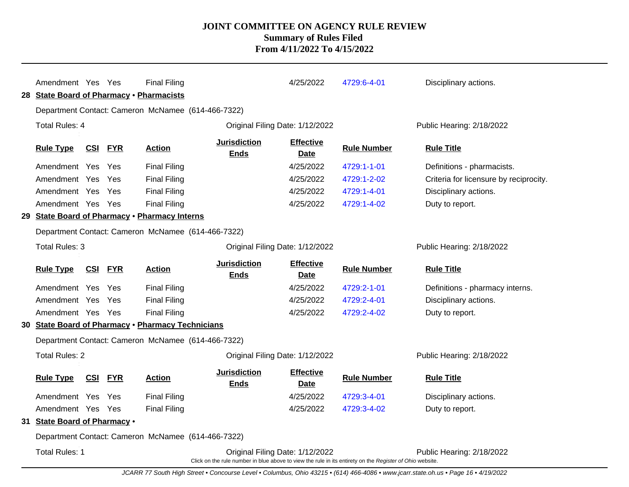|                                                    | Amendment Yes Yes<br>28 State Board of Pharmacy . Pharmacists |                |            | <b>Final Filing</b>                                |                                                                                                                                             | 4/25/2022                       | 4729:6-4-01        | Disciplinary actions.                  |
|----------------------------------------------------|---------------------------------------------------------------|----------------|------------|----------------------------------------------------|---------------------------------------------------------------------------------------------------------------------------------------------|---------------------------------|--------------------|----------------------------------------|
|                                                    |                                                               |                |            | Department Contact: Cameron McNamee (614-466-7322) |                                                                                                                                             |                                 |                    |                                        |
|                                                    | <b>Total Rules: 4</b>                                         |                |            |                                                    | Original Filing Date: 1/12/2022                                                                                                             |                                 |                    | Public Hearing: 2/18/2022              |
|                                                    | <b>Rule Type</b>                                              | <u>CSI</u>     | <b>FYR</b> | <b>Action</b>                                      | <b>Jurisdiction</b><br><b>Ends</b>                                                                                                          | <b>Effective</b><br>Date        | <b>Rule Number</b> | <b>Rule Title</b>                      |
|                                                    | Amendment Yes Yes                                             |                |            | <b>Final Filing</b>                                |                                                                                                                                             | 4/25/2022                       | 4729:1-1-01        | Definitions - pharmacists.             |
|                                                    | Amendment Yes                                                 |                | Yes        | <b>Final Filing</b>                                |                                                                                                                                             | 4/25/2022                       | 4729:1-2-02        | Criteria for licensure by reciprocity. |
|                                                    | Amendment Yes                                                 |                | Yes        | <b>Final Filing</b>                                |                                                                                                                                             | 4/25/2022                       | 4729:1-4-01        | Disciplinary actions.                  |
|                                                    | Amendment Yes Yes                                             |                |            | <b>Final Filing</b>                                |                                                                                                                                             | 4/25/2022                       | 4729:1-4-02        | Duty to report.                        |
|                                                    |                                                               |                |            | 29 State Board of Pharmacy . Pharmacy Interns      |                                                                                                                                             |                                 |                    |                                        |
| Department Contact: Cameron McNamee (614-466-7322) |                                                               |                |            |                                                    |                                                                                                                                             |                                 |                    |                                        |
|                                                    | Total Rules: 3                                                |                |            |                                                    | Original Filing Date: 1/12/2022                                                                                                             |                                 |                    | Public Hearing: 2/18/2022              |
|                                                    | <b>Rule Type</b>                                              | <b>CSI FYR</b> |            | <b>Action</b>                                      | <b>Jurisdiction</b><br><b>Ends</b>                                                                                                          | <b>Effective</b><br>Date        | <b>Rule Number</b> | <b>Rule Title</b>                      |
|                                                    | Amendment Yes                                                 |                | Yes        | <b>Final Filing</b>                                |                                                                                                                                             | 4/25/2022                       | 4729:2-1-01        | Definitions - pharmacy interns.        |
|                                                    | Amendment Yes                                                 |                | Yes        | <b>Final Filing</b>                                |                                                                                                                                             | 4/25/2022                       | 4729:2-4-01        | Disciplinary actions.                  |
|                                                    | Amendment Yes Yes                                             |                |            | <b>Final Filing</b>                                |                                                                                                                                             | 4/25/2022                       | 4729:2-4-02        | Duty to report.                        |
|                                                    |                                                               |                |            | 30 State Board of Pharmacy . Pharmacy Technicians  |                                                                                                                                             |                                 |                    |                                        |
|                                                    |                                                               |                |            | Department Contact: Cameron McNamee (614-466-7322) |                                                                                                                                             |                                 |                    |                                        |
|                                                    | <b>Total Rules: 2</b>                                         |                |            |                                                    | Original Filing Date: 1/12/2022                                                                                                             |                                 |                    | Public Hearing: 2/18/2022              |
|                                                    | <b>Rule Type</b>                                              | <b>CSI</b>     | <b>FYR</b> | <b>Action</b>                                      | <b>Jurisdiction</b><br><b>Ends</b>                                                                                                          | <b>Effective</b><br><b>Date</b> | <b>Rule Number</b> | <b>Rule Title</b>                      |
|                                                    | Amendment Yes                                                 |                | Yes        | <b>Final Filing</b>                                |                                                                                                                                             | 4/25/2022                       | 4729:3-4-01        | Disciplinary actions.                  |
|                                                    | Amendment Yes Yes                                             |                |            | <b>Final Filing</b>                                |                                                                                                                                             | 4/25/2022                       | 4729:3-4-02        | Duty to report.                        |
|                                                    | 31 State Board of Pharmacy .                                  |                |            |                                                    |                                                                                                                                             |                                 |                    |                                        |
|                                                    |                                                               |                |            | Department Contact: Cameron McNamee (614-466-7322) |                                                                                                                                             |                                 |                    |                                        |
|                                                    | <b>Total Rules: 1</b>                                         |                |            |                                                    | Original Filing Date: 1/12/2022<br>Click on the rule number in blue above to view the rule in its entirety on the Register of Ohio website. |                                 |                    | Public Hearing: 2/18/2022              |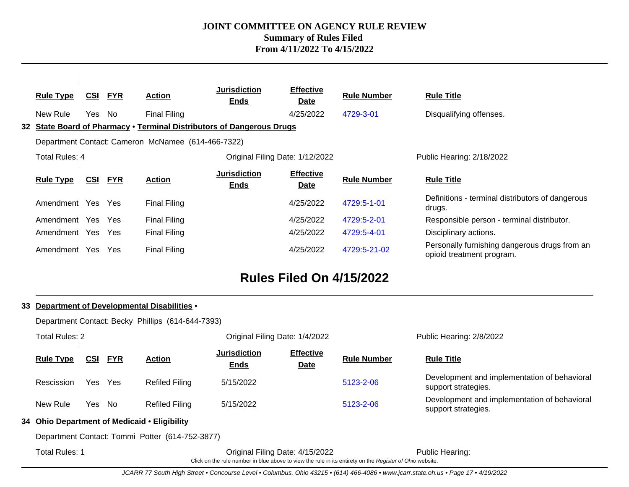| <b>Rule Type</b> | <u>CSI</u> | <b>FYR</b> | <b>Action</b>                                      | <b>Jurisdiction</b><br><b>Ends</b>                                    | <b>Effective</b><br><b>Date</b> | <b>Rule Number</b> | <b>Rule Title</b>                                                          |
|------------------|------------|------------|----------------------------------------------------|-----------------------------------------------------------------------|---------------------------------|--------------------|----------------------------------------------------------------------------|
| New Rule         | Yes No     |            | <b>Final Filing</b>                                |                                                                       | 4/25/2022                       | 4729-3-01          | Disqualifying offenses.                                                    |
|                  |            |            |                                                    | 32 State Board of Pharmacy . Terminal Distributors of Dangerous Drugs |                                 |                    |                                                                            |
|                  |            |            | Department Contact: Cameron McNamee (614-466-7322) |                                                                       |                                 |                    |                                                                            |
| Total Rules: 4   |            |            |                                                    | Original Filing Date: 1/12/2022                                       |                                 |                    | Public Hearing: 2/18/2022                                                  |
| <b>Rule Type</b> | <u>CSI</u> | <b>FYR</b> | <b>Action</b>                                      | <b>Jurisdiction</b><br><b>Ends</b>                                    | <b>Effective</b><br>Date        | <b>Rule Number</b> | <b>Rule Title</b>                                                          |
| Amendment Yes    |            | Yes        | <b>Final Filing</b>                                |                                                                       | 4/25/2022                       | 4729:5-1-01        | Definitions - terminal distributors of dangerous<br>drugs.                 |
| Amendment Yes    |            | Yes        | <b>Final Filing</b>                                |                                                                       | 4/25/2022                       | 4729:5-2-01        | Responsible person - terminal distributor.                                 |
| Amendment Yes    |            | <b>Yes</b> | <b>Final Filing</b>                                |                                                                       | 4/25/2022                       | 4729:5-4-01        | Disciplinary actions.                                                      |
| Amendment Yes    |            | <b>Yes</b> | <b>Final Filing</b>                                |                                                                       | 4/25/2022                       | 4729:5-21-02       | Personally furnishing dangerous drugs from an<br>opioid treatment program. |

## **Rules Filed On 4/15/2022**

#### **33 Department of Developmental Disabilities** • Department Contact: Becky Phillips (614-644-7393) Total Rules: 2 Original Filing Date: 1/4/2022 Public Hearing: 2/8/2022 **Rule Type CSI FYR Action Jurisdiction Ends Effective Date Rule Number Rule Title** Rescission Yes Yes Refiled Filing 5/15/2022 [5123-2-06](http://www.registerofohio.state.oh.us/jsps/publicdisplayrules/processPublicDisplayRules.jsp?entered_rule_no=5123-2-06&doWhat=GETBYRULENUM&raID=0) Development and implementation of behavioral support strategies. New Rule Yes No Refiled Filing 5/15/2022 [5123-2-06](http://www.registerofohio.state.oh.us/jsps/publicdisplayrules/processPublicDisplayRules.jsp?entered_rule_no=5123-2-06&doWhat=GETBYRULENUM&raID=0) Development and implementation of behavioral support strategies. **34 Ohio Department of Medicaid** • **Eligibility** Department Contact: Tommi Potter (614-752-3877) Total Rules: 1 Original Filing Date: 4/15/2022 Public Hearing: Click on the rule number in blue above to view the rule in its entirety on the Register of Ohio website.

JCARR 77 South High Street • Concourse Level • Columbus, Ohio 43215 • (614) 466-4086 • www.jcarr.state.oh.us • Page 17 • 4/19/2022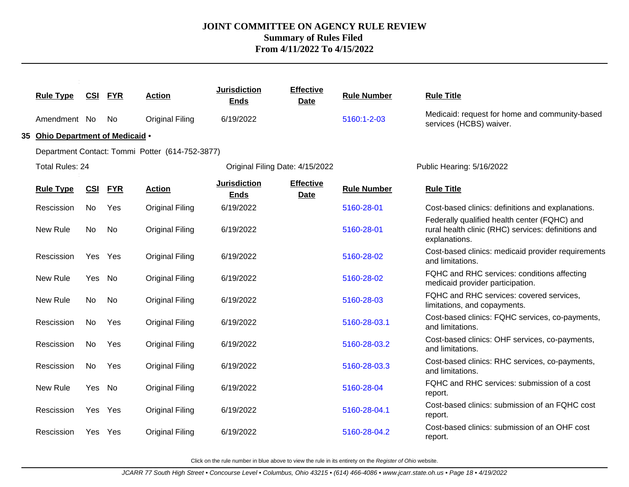|                                  |                |            |                                                 | <b>Jurisdiction</b>                | <b>Effective</b>                |                    |                                                                                                                      |
|----------------------------------|----------------|------------|-------------------------------------------------|------------------------------------|---------------------------------|--------------------|----------------------------------------------------------------------------------------------------------------------|
| <b>Rule Type</b>                 | <b>CSI FYR</b> |            | <b>Action</b>                                   | <b>Ends</b>                        | <b>Date</b>                     | <b>Rule Number</b> | <b>Rule Title</b>                                                                                                    |
| Amendment No                     |                | No         | <b>Original Filing</b>                          | 6/19/2022                          |                                 | 5160:1-2-03        | Medicaid: request for home and community-based<br>services (HCBS) waiver.                                            |
| 35 Ohio Department of Medicaid . |                |            |                                                 |                                    |                                 |                    |                                                                                                                      |
|                                  |                |            | Department Contact: Tommi Potter (614-752-3877) |                                    |                                 |                    |                                                                                                                      |
| <b>Total Rules: 24</b>           |                |            |                                                 | Original Filing Date: 4/15/2022    |                                 |                    | Public Hearing: 5/16/2022                                                                                            |
| <b>Rule Type</b>                 | <u>CSI</u>     | <b>FYR</b> | <b>Action</b>                                   | <b>Jurisdiction</b><br><b>Ends</b> | <b>Effective</b><br><b>Date</b> | <b>Rule Number</b> | <b>Rule Title</b>                                                                                                    |
| Rescission                       | No             | Yes        | <b>Original Filing</b>                          | 6/19/2022                          |                                 | 5160-28-01         | Cost-based clinics: definitions and explanations.                                                                    |
| New Rule                         | No             | No         | <b>Original Filing</b>                          | 6/19/2022                          |                                 | 5160-28-01         | Federally qualified health center (FQHC) and<br>rural health clinic (RHC) services: definitions and<br>explanations. |
| Rescission                       | Yes Yes        |            | <b>Original Filing</b>                          | 6/19/2022                          |                                 | 5160-28-02         | Cost-based clinics: medicaid provider requirements<br>and limitations.                                               |
| New Rule                         | Yes No         |            | <b>Original Filing</b>                          | 6/19/2022                          |                                 | 5160-28-02         | FQHC and RHC services: conditions affecting<br>medicaid provider participation.                                      |
| New Rule                         | No.            | No         | <b>Original Filing</b>                          | 6/19/2022                          |                                 | 5160-28-03         | FQHC and RHC services: covered services,<br>limitations, and copayments.                                             |
| Rescission                       | No             | Yes        | <b>Original Filing</b>                          | 6/19/2022                          |                                 | 5160-28-03.1       | Cost-based clinics: FQHC services, co-payments,<br>and limitations.                                                  |
| Rescission                       | No             | Yes        | <b>Original Filing</b>                          | 6/19/2022                          |                                 | 5160-28-03.2       | Cost-based clinics: OHF services, co-payments,<br>and limitations.                                                   |
| Rescission                       | No             | Yes        | <b>Original Filing</b>                          | 6/19/2022                          |                                 | 5160-28-03.3       | Cost-based clinics: RHC services, co-payments,<br>and limitations.                                                   |
| New Rule                         | Yes            | No         | <b>Original Filing</b>                          | 6/19/2022                          |                                 | 5160-28-04         | FQHC and RHC services: submission of a cost<br>report.                                                               |
| Rescission                       | Yes Yes        |            | <b>Original Filing</b>                          | 6/19/2022                          |                                 | 5160-28-04.1       | Cost-based clinics: submission of an FQHC cost<br>report.                                                            |
| Rescission                       | Yes Yes        |            | <b>Original Filing</b>                          | 6/19/2022                          |                                 | 5160-28-04.2       | Cost-based clinics: submission of an OHF cost<br>report.                                                             |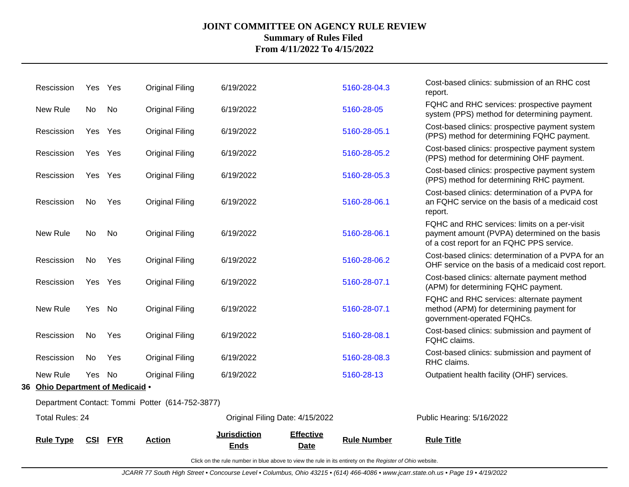| <b>Rule Type</b>                 | <b>CSI</b> | <b>FYR</b> | <b>Action</b>                                   | <b>Jurisdiction</b><br><b>Ends</b> | <b>Effective</b><br>Date | <b>Rule Number</b> | <b>Rule Title</b>                                                                                                                          |
|----------------------------------|------------|------------|-------------------------------------------------|------------------------------------|--------------------------|--------------------|--------------------------------------------------------------------------------------------------------------------------------------------|
| Total Rules: 24                  |            |            |                                                 | Original Filing Date: 4/15/2022    |                          |                    | Public Hearing: 5/16/2022                                                                                                                  |
|                                  |            |            | Department Contact: Tommi Potter (614-752-3877) |                                    |                          |                    |                                                                                                                                            |
| 36 Ohio Department of Medicaid . |            |            |                                                 |                                    |                          |                    |                                                                                                                                            |
| New Rule                         | Yes No     |            | Original Filing                                 | 6/19/2022                          |                          | 5160-28-13         | Outpatient health facility (OHF) services.                                                                                                 |
| Rescission                       | No         | Yes        | <b>Original Filing</b>                          | 6/19/2022                          |                          | 5160-28-08.3       | Cost-based clinics: submission and payment of<br>RHC claims.                                                                               |
| Rescission                       | No         | Yes        | <b>Original Filing</b>                          | 6/19/2022                          |                          | 5160-28-08.1       | Cost-based clinics: submission and payment of<br>FQHC claims.                                                                              |
| New Rule                         | Yes No     |            | Original Filing                                 | 6/19/2022                          |                          | 5160-28-07.1       | FQHC and RHC services: alternate payment<br>method (APM) for determining payment for<br>government-operated FQHCs.                         |
| Rescission                       | Yes Yes    |            | <b>Original Filing</b>                          | 6/19/2022                          |                          | 5160-28-07.1       | Cost-based clinics: alternate payment method<br>(APM) for determining FQHC payment.                                                        |
| Rescission                       | No         | Yes        | <b>Original Filing</b>                          | 6/19/2022                          |                          | 5160-28-06.2       | Cost-based clinics: determination of a PVPA for an<br>OHF service on the basis of a medicaid cost report.                                  |
| New Rule                         | No         | No         | Original Filing                                 | 6/19/2022                          |                          | 5160-28-06.1       | FQHC and RHC services: limits on a per-visit<br>payment amount (PVPA) determined on the basis<br>of a cost report for an FQHC PPS service. |
| Rescission                       | No.        | Yes        | <b>Original Filing</b>                          | 6/19/2022                          |                          | 5160-28-06.1       | Cost-based clinics: determination of a PVPA for<br>an FQHC service on the basis of a medicaid cost<br>report.                              |
| Rescission                       | Yes Yes    |            | <b>Original Filing</b>                          | 6/19/2022                          |                          | 5160-28-05.3       | Cost-based clinics: prospective payment system<br>(PPS) method for determining RHC payment.                                                |
| Rescission                       | Yes Yes    |            | <b>Original Filing</b>                          | 6/19/2022                          |                          | 5160-28-05.2       | Cost-based clinics: prospective payment system<br>(PPS) method for determining OHF payment.                                                |
| Rescission                       | Yes Yes    |            | <b>Original Filing</b>                          | 6/19/2022                          |                          | 5160-28-05.1       | Cost-based clinics: prospective payment system<br>(PPS) method for determining FQHC payment.                                               |
| New Rule                         | No         | No         | <b>Original Filing</b>                          | 6/19/2022                          |                          | 5160-28-05         | FQHC and RHC services: prospective payment<br>system (PPS) method for determining payment.                                                 |
| Rescission                       | Yes Yes    |            | <b>Original Filing</b>                          | 6/19/2022                          |                          | 5160-28-04.3       | Cost-based clinics: submission of an RHC cost<br>report.                                                                                   |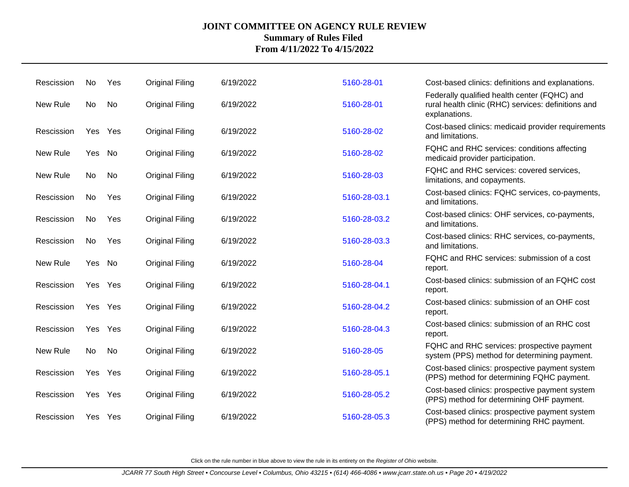| Rescission | No     | Yes     | <b>Original Filing</b> | 6/19/2022 | 5160-28-01   | Cost-based clinics: definitions and explanations.                                                                    |
|------------|--------|---------|------------------------|-----------|--------------|----------------------------------------------------------------------------------------------------------------------|
| New Rule   | No     | No      | <b>Original Filing</b> | 6/19/2022 | 5160-28-01   | Federally qualified health center (FQHC) and<br>rural health clinic (RHC) services: definitions and<br>explanations. |
| Rescission |        | Yes Yes | <b>Original Filing</b> | 6/19/2022 | 5160-28-02   | Cost-based clinics: medicaid provider requirements<br>and limitations.                                               |
| New Rule   | Yes No |         | <b>Original Filing</b> | 6/19/2022 | 5160-28-02   | FQHC and RHC services: conditions affecting<br>medicaid provider participation.                                      |
| New Rule   | No.    | No      | <b>Original Filing</b> | 6/19/2022 | 5160-28-03   | FQHC and RHC services: covered services,<br>limitations, and copayments.                                             |
| Rescission | No     | Yes     | <b>Original Filing</b> | 6/19/2022 | 5160-28-03.1 | Cost-based clinics: FQHC services, co-payments,<br>and limitations.                                                  |
| Rescission | No     | Yes     | <b>Original Filing</b> | 6/19/2022 | 5160-28-03.2 | Cost-based clinics: OHF services, co-payments,<br>and limitations.                                                   |
| Rescission | No.    | Yes     | <b>Original Filing</b> | 6/19/2022 | 5160-28-03.3 | Cost-based clinics: RHC services, co-payments,<br>and limitations.                                                   |
| New Rule   | Yes    | No      | <b>Original Filing</b> | 6/19/2022 | 5160-28-04   | FQHC and RHC services: submission of a cost<br>report.                                                               |
| Rescission |        | Yes Yes | <b>Original Filing</b> | 6/19/2022 | 5160-28-04.1 | Cost-based clinics: submission of an FQHC cost<br>report.                                                            |
| Rescission |        | Yes Yes | <b>Original Filing</b> | 6/19/2022 | 5160-28-04.2 | Cost-based clinics: submission of an OHF cost<br>report.                                                             |
| Rescission |        | Yes Yes | <b>Original Filing</b> | 6/19/2022 | 5160-28-04.3 | Cost-based clinics: submission of an RHC cost<br>report.                                                             |
| New Rule   | No     | No      | <b>Original Filing</b> | 6/19/2022 | 5160-28-05   | FQHC and RHC services: prospective payment<br>system (PPS) method for determining payment.                           |
| Rescission |        | Yes Yes | <b>Original Filing</b> | 6/19/2022 | 5160-28-05.1 | Cost-based clinics: prospective payment system<br>(PPS) method for determining FQHC payment.                         |
| Rescission |        | Yes Yes | <b>Original Filing</b> | 6/19/2022 | 5160-28-05.2 | Cost-based clinics: prospective payment system<br>(PPS) method for determining OHF payment.                          |
| Rescission |        | Yes Yes | <b>Original Filing</b> | 6/19/2022 | 5160-28-05.3 | Cost-based clinics: prospective payment system<br>(PPS) method for determining RHC payment.                          |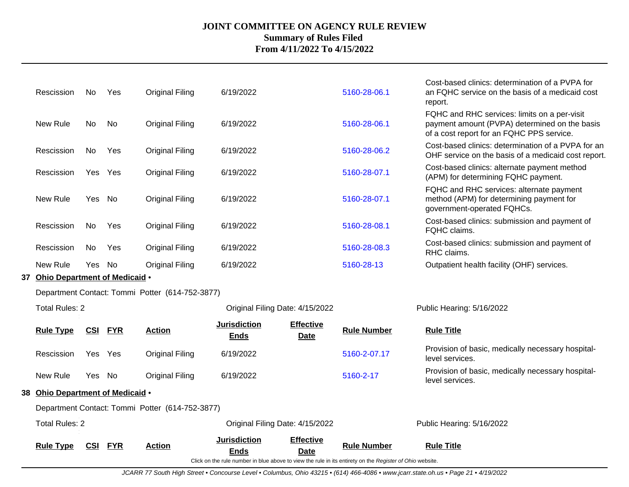| <b>Total Rules: 2</b>            |            |            |                                                  |                                    | Original Filing Date: 4/15/2022 |                            | Public Hearing: 5/16/2022                                                                                                                  |
|----------------------------------|------------|------------|--------------------------------------------------|------------------------------------|---------------------------------|----------------------------|--------------------------------------------------------------------------------------------------------------------------------------------|
| 38 Ohio Department of Medicaid . |            |            | Department Contact: Tommi Potter (614-752-3877)  |                                    |                                 |                            |                                                                                                                                            |
| New Rule                         | Yes No     |            | <b>Original Filing</b>                           | 6/19/2022                          |                                 | 5160-2-17                  | Provision of basic, medically necessary hospital-<br>level services.                                                                       |
| Rescission                       | Yes Yes    |            | <b>Original Filing</b>                           | 6/19/2022                          |                                 | 5160-2-07.17               | Provision of basic, medically necessary hospital-<br>level services.                                                                       |
| <b>Rule Type</b>                 | <b>CSI</b> | <b>FYR</b> | <b>Action</b>                                    | <b>Jurisdiction</b><br><b>Ends</b> | <b>Effective</b><br>Date        | <b>Rule Number</b>         | <b>Rule Title</b>                                                                                                                          |
| <b>Total Rules: 2</b>            |            |            |                                                  | Original Filing Date: 4/15/2022    |                                 |                            | Public Hearing: 5/16/2022                                                                                                                  |
|                                  |            |            | Department Contact: Tommi Potter (614-752-3877)  |                                    |                                 |                            |                                                                                                                                            |
| 37 Ohio Department of Medicaid . |            |            |                                                  |                                    |                                 |                            |                                                                                                                                            |
| Rescission<br>New Rule           | No<br>Yes  | Yes<br>No  | <b>Original Filing</b><br><b>Original Filing</b> | 6/19/2022<br>6/19/2022             |                                 | 5160-28-08.3<br>5160-28-13 | RHC claims.<br>Outpatient health facility (OHF) services.                                                                                  |
| Rescission                       | No         | Yes        | <b>Original Filing</b>                           | 6/19/2022                          |                                 | 5160-28-08.1               | Cost-based clinics: submission and payment of<br>FQHC claims.<br>Cost-based clinics: submission and payment of                             |
| New Rule                         | Yes No     |            | <b>Original Filing</b>                           | 6/19/2022                          |                                 | 5160-28-07.1               | FQHC and RHC services: alternate payment<br>method (APM) for determining payment for<br>government-operated FQHCs.                         |
| Rescission                       |            | Yes Yes    | <b>Original Filing</b>                           | 6/19/2022                          |                                 | 5160-28-07.1               | Cost-based clinics: alternate payment method<br>(APM) for determining FQHC payment.                                                        |
| Rescission                       | No         | Yes        | <b>Original Filing</b>                           | 6/19/2022                          |                                 | 5160-28-06.2               | Cost-based clinics: determination of a PVPA for an<br>OHF service on the basis of a medicaid cost report.                                  |
| New Rule                         | No         | No         | <b>Original Filing</b>                           | 6/19/2022                          |                                 | 5160-28-06.1               | FQHC and RHC services: limits on a per-visit<br>payment amount (PVPA) determined on the basis<br>of a cost report for an FQHC PPS service. |
| Rescission                       | No.        | Yes        | <b>Original Filing</b>                           | 6/19/2022                          |                                 | 5160-28-06.1               | Cost-based clinics: determination of a PVPA for<br>an FQHC service on the basis of a medicaid cost<br>report.                              |

JCARR 77 South High Street • Concourse Level • Columbus, Ohio 43215 • (614) 466-4086 • www.jcarr.state.oh.us • Page 21 • 4/19/2022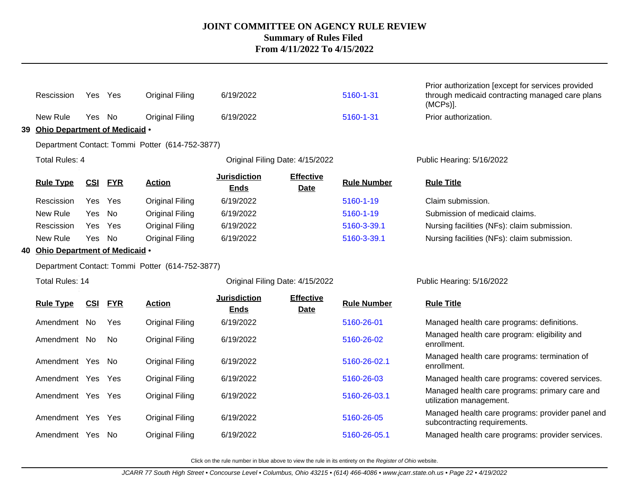|    | Rescission                       | Yes Yes |            | <b>Original Filing</b>                          | 6/19/2022                          |                                 | 5160-1-31          | Prior authorization [except for services provided<br>through medicaid contracting managed care plans<br>$(MCPs)$ ]. |
|----|----------------------------------|---------|------------|-------------------------------------------------|------------------------------------|---------------------------------|--------------------|---------------------------------------------------------------------------------------------------------------------|
|    | New Rule                         | Yes No  |            | <b>Original Filing</b>                          | 6/19/2022                          |                                 | 5160-1-31          | Prior authorization.                                                                                                |
| 39 | Ohio Department of Medicaid .    |         |            |                                                 |                                    |                                 |                    |                                                                                                                     |
|    |                                  |         |            | Department Contact: Tommi Potter (614-752-3877) |                                    |                                 |                    |                                                                                                                     |
|    | <b>Total Rules: 4</b>            |         |            |                                                 | Original Filing Date: 4/15/2022    |                                 |                    | Public Hearing: 5/16/2022                                                                                           |
|    | <b>Rule Type</b>                 | CSI     | <b>FYR</b> | <b>Action</b>                                   | <b>Jurisdiction</b><br><b>Ends</b> | <b>Effective</b><br><b>Date</b> | <b>Rule Number</b> | <b>Rule Title</b>                                                                                                   |
|    | Rescission                       | Yes     | Yes        | <b>Original Filing</b>                          | 6/19/2022                          |                                 | 5160-1-19          | Claim submission.                                                                                                   |
|    | New Rule                         | Yes     | No         | <b>Original Filing</b>                          | 6/19/2022                          |                                 | 5160-1-19          | Submission of medicaid claims.                                                                                      |
|    | Rescission                       | Yes     | Yes        | <b>Original Filing</b>                          | 6/19/2022                          |                                 | 5160-3-39.1        | Nursing facilities (NFs): claim submission.                                                                         |
|    | New Rule                         | Yes No  |            | <b>Original Filing</b>                          | 6/19/2022                          |                                 | 5160-3-39.1        | Nursing facilities (NFs): claim submission.                                                                         |
|    | 40 Ohio Department of Medicaid • |         |            |                                                 |                                    |                                 |                    |                                                                                                                     |
|    |                                  |         |            | Department Contact: Tommi Potter (614-752-3877) |                                    |                                 |                    |                                                                                                                     |
|    | <b>Total Rules: 14</b>           |         |            |                                                 | Original Filing Date: 4/15/2022    |                                 |                    | Public Hearing: 5/16/2022                                                                                           |
|    | <b>Rule Type</b>                 | CSI     | <b>FYR</b> | <b>Action</b>                                   | <b>Jurisdiction</b><br><b>Ends</b> | <b>Effective</b><br><b>Date</b> | <b>Rule Number</b> | <b>Rule Title</b>                                                                                                   |
|    | Amendment No                     |         | Yes        | <b>Original Filing</b>                          | 6/19/2022                          |                                 | 5160-26-01         | Managed health care programs: definitions.                                                                          |
|    | Amendment No                     |         | No.        | <b>Original Filing</b>                          | 6/19/2022                          |                                 | 5160-26-02         | Managed health care program: eligibility and<br>enrollment.                                                         |
|    | Amendment Yes                    |         | - No       | <b>Original Filing</b>                          | 6/19/2022                          |                                 | 5160-26-02.1       | Managed health care programs: termination of<br>enrollment.                                                         |
|    | Amendment Yes Yes                |         |            | <b>Original Filing</b>                          | 6/19/2022                          |                                 | 5160-26-03         | Managed health care programs: covered services.                                                                     |
|    | Amendment Yes Yes                |         |            | <b>Original Filing</b>                          | 6/19/2022                          |                                 | 5160-26-03.1       | Managed health care programs: primary care and<br>utilization management.                                           |
|    | Amendment Yes Yes                |         |            | <b>Original Filing</b>                          | 6/19/2022                          |                                 | 5160-26-05         | Managed health care programs: provider panel and<br>subcontracting requirements.                                    |
|    | Amendment Yes                    |         | . No       | <b>Original Filing</b>                          | 6/19/2022                          |                                 | 5160-26-05.1       | Managed health care programs: provider services.                                                                    |
|    |                                  |         |            |                                                 |                                    |                                 |                    |                                                                                                                     |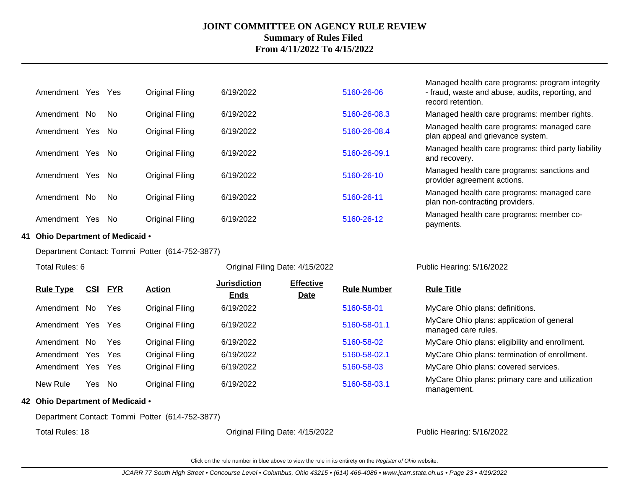| Yes<br>Amendment  | Yes       | Original Filing | 6/19/2022 | 5160-26-06   | Managed health care programs: program integrity<br>- fraud, waste and abuse, audits, reporting, and<br>record retention. |
|-------------------|-----------|-----------------|-----------|--------------|--------------------------------------------------------------------------------------------------------------------------|
| No.<br>Amendment  | <b>No</b> | Original Filing | 6/19/2022 | 5160-26-08.3 | Managed health care programs: member rights.                                                                             |
| Yes.<br>Amendment | No.       | Original Filing | 6/19/2022 | 5160-26-08.4 | Managed health care programs: managed care<br>plan appeal and grievance system.                                          |
| Amendment<br>Yes  | No.       | Original Filing | 6/19/2022 | 5160-26-09.1 | Managed health care programs: third party liability<br>and recovery.                                                     |
| Yes<br>Amendment  | No.       | Original Filing | 6/19/2022 | 5160-26-10   | Managed health care programs: sanctions and<br>provider agreement actions.                                               |
| Amendment No      | No.       | Original Filing | 6/19/2022 | 5160-26-11   | Managed health care programs: managed care<br>plan non-contracting providers.                                            |
| Amendment<br>Yes  | . No      | Original Filing | 6/19/2022 | 5160-26-12   | Managed health care programs: member co-<br>payments.                                                                    |

#### **41 Ohio Department of Medicaid** •

Department Contact: Tommi Potter (614-752-3877)

| Total Rules: 6   |            |            |                 | Original Filing Date: 4/15/2022    |                                 |                    | Public Hearing: 5/16/2022                                        |
|------------------|------------|------------|-----------------|------------------------------------|---------------------------------|--------------------|------------------------------------------------------------------|
| <b>Rule Type</b> | <u>CSI</u> | <b>FYR</b> | <b>Action</b>   | <b>Jurisdiction</b><br><b>Ends</b> | <b>Effective</b><br><b>Date</b> | <b>Rule Number</b> | <b>Rule Title</b>                                                |
| Amendment No     |            | Yes        | Original Filing | 6/19/2022                          |                                 | 5160-58-01         | MyCare Ohio plans: definitions.                                  |
| Amendment        | Yes        | <b>Yes</b> | Original Filing | 6/19/2022                          |                                 | 5160-58-01.1       | MyCare Ohio plans: application of general<br>managed care rules. |
| Amendment No     |            | Yes        | Original Filing | 6/19/2022                          |                                 | 5160-58-02         | MyCare Ohio plans: eligibility and enrollment.                   |
| Amendment        | Yes        | Yes        | Original Filing | 6/19/2022                          |                                 | 5160-58-02.1       | MyCare Ohio plans: termination of enrollment.                    |
| Amendment        | Yes        | Yes        | Original Filing | 6/19/2022                          |                                 | 5160-58-03         | MyCare Ohio plans: covered services.                             |
| New Rule         | Yes No     |            | Original Filing | 6/19/2022                          |                                 | 5160-58-03.1       | MyCare Ohio plans: primary care and utilization<br>management.   |

**42 Ohio Department of Medicaid** •

Department Contact: Tommi Potter (614-752-3877)

Total Rules: 18

Original Filing Date: 4/15/2022 Public Hearing: 5/16/2022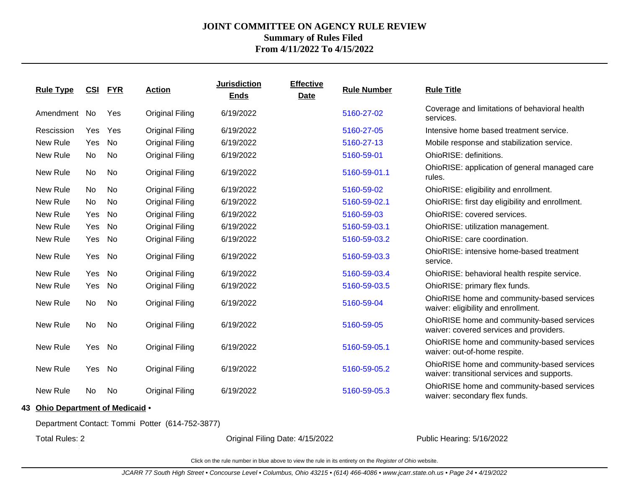| <b>Rule Type</b>                 |     | CSI FYR   | <b>Action</b>          | <b>Jurisdiction</b><br><b>Ends</b> | <b>Effective</b><br><b>Date</b> | <b>Rule Number</b> | <b>Rule Title</b>                                                                         |
|----------------------------------|-----|-----------|------------------------|------------------------------------|---------------------------------|--------------------|-------------------------------------------------------------------------------------------|
| Amendment No                     |     | Yes       | <b>Original Filing</b> | 6/19/2022                          |                                 | 5160-27-02         | Coverage and limitations of behavioral health<br>services.                                |
| Rescission                       | Yes | Yes       | <b>Original Filing</b> | 6/19/2022                          |                                 | 5160-27-05         | Intensive home based treatment service.                                                   |
| New Rule                         | Yes | <b>No</b> | <b>Original Filing</b> | 6/19/2022                          |                                 | 5160-27-13         | Mobile response and stabilization service.                                                |
| New Rule                         | No  | No        | <b>Original Filing</b> | 6/19/2022                          |                                 | 5160-59-01         | OhioRISE: definitions.                                                                    |
| New Rule                         | No  | No        | <b>Original Filing</b> | 6/19/2022                          |                                 | 5160-59-01.1       | OhioRISE: application of general managed care<br>rules.                                   |
| New Rule                         | No  | No        | <b>Original Filing</b> | 6/19/2022                          |                                 | 5160-59-02         | OhioRISE: eligibility and enrollment.                                                     |
| New Rule                         | No  | No        | <b>Original Filing</b> | 6/19/2022                          |                                 | 5160-59-02.1       | OhioRISE: first day eligibility and enrollment.                                           |
| New Rule                         | Yes | <b>No</b> | <b>Original Filing</b> | 6/19/2022                          |                                 | 5160-59-03         | OhioRISE: covered services.                                                               |
| New Rule                         | Yes | No        | <b>Original Filing</b> | 6/19/2022                          |                                 | 5160-59-03.1       | OhioRISE: utilization management.                                                         |
| New Rule                         | Yes | No        | <b>Original Filing</b> | 6/19/2022                          |                                 | 5160-59-03.2       | OhioRISE: care coordination.                                                              |
| New Rule                         | Yes | No        | <b>Original Filing</b> | 6/19/2022                          |                                 | 5160-59-03.3       | OhioRISE: intensive home-based treatment<br>service.                                      |
| New Rule                         | Yes | No        | <b>Original Filing</b> | 6/19/2022                          |                                 | 5160-59-03.4       | OhioRISE: behavioral health respite service.                                              |
| New Rule                         | Yes | <b>No</b> | <b>Original Filing</b> | 6/19/2022                          |                                 | 5160-59-03.5       | OhioRISE: primary flex funds.                                                             |
| New Rule                         | No  | No        | <b>Original Filing</b> | 6/19/2022                          |                                 | 5160-59-04         | OhioRISE home and community-based services<br>waiver: eligibility and enrollment.         |
| New Rule                         | No  | No        | <b>Original Filing</b> | 6/19/2022                          |                                 | 5160-59-05         | OhioRISE home and community-based services<br>waiver: covered services and providers.     |
| New Rule                         | Yes | No        | <b>Original Filing</b> | 6/19/2022                          |                                 | 5160-59-05.1       | OhioRISE home and community-based services<br>waiver: out-of-home respite.                |
| New Rule                         | Yes | No        | <b>Original Filing</b> | 6/19/2022                          |                                 | 5160-59-05.2       | OhioRISE home and community-based services<br>waiver: transitional services and supports. |
| New Rule                         | No  | No        | <b>Original Filing</b> | 6/19/2022                          |                                 | 5160-59-05.3       | OhioRISE home and community-based services<br>waiver: secondary flex funds.               |
| 43 Ohio Department of Medicaid . |     |           |                        |                                    |                                 |                    |                                                                                           |

Department Contact: Tommi Potter (614-752-3877)

Total Rules: 2

Original Filing Date: 4/15/2022 Public Hearing: 5/16/2022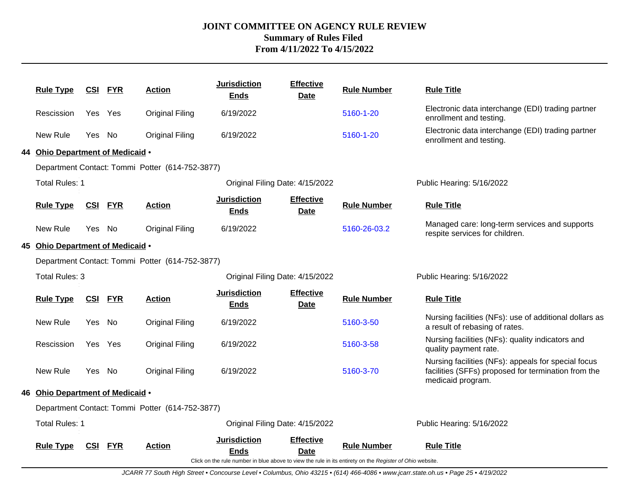| <b>Rule Type</b>                 | <u>CSI</u> | <u>FYR</u> | <b>Action</b>                                   | <b>Jurisdiction</b><br><b>Ends</b> | <b>Effective</b><br><b>Date</b> | <b>Rule Number</b>                                                                                                             | <b>Rule Title</b>                                                                                                               |
|----------------------------------|------------|------------|-------------------------------------------------|------------------------------------|---------------------------------|--------------------------------------------------------------------------------------------------------------------------------|---------------------------------------------------------------------------------------------------------------------------------|
| Rescission                       | Yes Yes    |            | <b>Original Filing</b>                          | 6/19/2022                          |                                 | 5160-1-20                                                                                                                      | Electronic data interchange (EDI) trading partner<br>enrollment and testing.                                                    |
| New Rule                         | Yes No     |            | <b>Original Filing</b>                          | 6/19/2022                          |                                 | 5160-1-20                                                                                                                      | Electronic data interchange (EDI) trading partner<br>enrollment and testing.                                                    |
| 44 Ohio Department of Medicaid . |            |            |                                                 |                                    |                                 |                                                                                                                                |                                                                                                                                 |
|                                  |            |            | Department Contact: Tommi Potter (614-752-3877) |                                    |                                 |                                                                                                                                |                                                                                                                                 |
| <b>Total Rules: 1</b>            |            |            |                                                 | Original Filing Date: 4/15/2022    |                                 |                                                                                                                                | Public Hearing: 5/16/2022                                                                                                       |
| <b>Rule Type</b>                 | <u>CSI</u> | <b>FYR</b> | <b>Action</b>                                   | <b>Jurisdiction</b><br><b>Ends</b> | <b>Effective</b><br><b>Date</b> | <b>Rule Number</b>                                                                                                             | <b>Rule Title</b>                                                                                                               |
| New Rule                         | Yes No     |            | <b>Original Filing</b>                          | 6/19/2022                          |                                 | 5160-26-03.2                                                                                                                   | Managed care: long-term services and supports<br>respite services for children.                                                 |
| 45 Ohio Department of Medicaid . |            |            |                                                 |                                    |                                 |                                                                                                                                |                                                                                                                                 |
|                                  |            |            | Department Contact: Tommi Potter (614-752-3877) |                                    |                                 |                                                                                                                                |                                                                                                                                 |
| <b>Total Rules: 3</b>            |            |            |                                                 | Original Filing Date: 4/15/2022    |                                 |                                                                                                                                | Public Hearing: 5/16/2022                                                                                                       |
| <b>Rule Type</b>                 | CSI        | <b>FYR</b> | <b>Action</b>                                   | <b>Jurisdiction</b><br><b>Ends</b> | <b>Effective</b><br><b>Date</b> | <b>Rule Number</b>                                                                                                             | <b>Rule Title</b>                                                                                                               |
| New Rule                         | Yes.       | No         | <b>Original Filing</b>                          | 6/19/2022                          |                                 | 5160-3-50                                                                                                                      | Nursing facilities (NFs): use of additional dollars as<br>a result of rebasing of rates.                                        |
| Rescission                       | Yes Yes    |            | <b>Original Filing</b>                          | 6/19/2022                          |                                 | 5160-3-58                                                                                                                      | Nursing facilities (NFs): quality indicators and<br>quality payment rate.                                                       |
| New Rule                         | Yes No     |            | <b>Original Filing</b>                          | 6/19/2022                          |                                 | 5160-3-70                                                                                                                      | Nursing facilities (NFs): appeals for special focus<br>facilities (SFFs) proposed for termination from the<br>medicaid program. |
| 46 Ohio Department of Medicaid . |            |            |                                                 |                                    |                                 |                                                                                                                                |                                                                                                                                 |
|                                  |            |            | Department Contact: Tommi Potter (614-752-3877) |                                    |                                 |                                                                                                                                |                                                                                                                                 |
| <b>Total Rules: 1</b>            |            |            |                                                 | Original Filing Date: 4/15/2022    |                                 |                                                                                                                                | Public Hearing: 5/16/2022                                                                                                       |
| <b>Rule Type</b>                 | CSI        | <b>FYR</b> | <b>Action</b>                                   | <b>Jurisdiction</b><br>Ends        | <b>Effective</b><br><b>Date</b> | <b>Rule Number</b><br>Click on the rule number in blue above to view the rule in its entirety on the Register of Ohio website. | <b>Rule Title</b>                                                                                                               |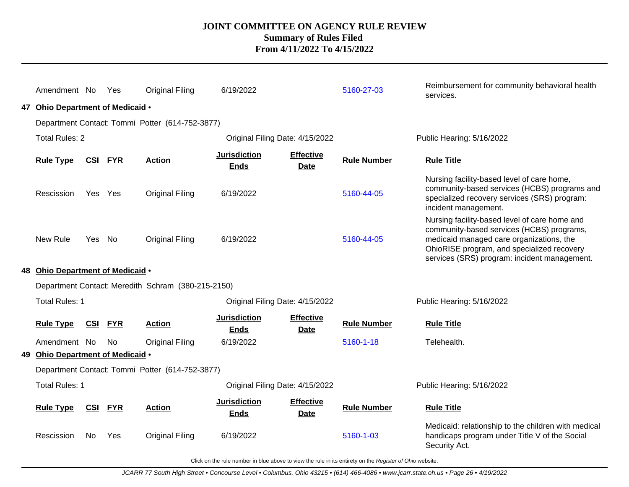| Amendment No                                             |                | Yes        | <b>Original Filing</b>                          | 6/19/2022                          |                                 | 5160-27-03         | Reimbursement for community behavioral health<br>services.                                                                                                                                                                           |  |  |  |
|----------------------------------------------------------|----------------|------------|-------------------------------------------------|------------------------------------|---------------------------------|--------------------|--------------------------------------------------------------------------------------------------------------------------------------------------------------------------------------------------------------------------------------|--|--|--|
| 47 Ohio Department of Medicaid .                         |                |            |                                                 |                                    |                                 |                    |                                                                                                                                                                                                                                      |  |  |  |
| Department Contact: Tommi Potter (614-752-3877)          |                |            |                                                 |                                    |                                 |                    |                                                                                                                                                                                                                                      |  |  |  |
| <b>Total Rules: 2</b>                                    |                |            |                                                 |                                    | Public Hearing: 5/16/2022       |                    |                                                                                                                                                                                                                                      |  |  |  |
| <b>Rule Type</b>                                         | <b>CSI</b>     | <b>FYR</b> | <b>Action</b>                                   | <b>Jurisdiction</b><br><b>Ends</b> | <b>Effective</b><br><b>Date</b> | <b>Rule Number</b> | <b>Rule Title</b>                                                                                                                                                                                                                    |  |  |  |
| Rescission                                               | Yes Yes        |            | Original Filing                                 | 6/19/2022                          |                                 | 5160-44-05         | Nursing facility-based level of care home,<br>community-based services (HCBS) programs and<br>specialized recovery services (SRS) program:<br>incident management.                                                                   |  |  |  |
| New Rule                                                 | Yes No         |            | Original Filing                                 | 6/19/2022                          |                                 | 5160-44-05         | Nursing facility-based level of care home and<br>community-based services (HCBS) programs,<br>medicaid managed care organizations, the<br>OhioRISE program, and specialized recovery<br>services (SRS) program: incident management. |  |  |  |
| 48 Ohio Department of Medicaid .                         |                |            |                                                 |                                    |                                 |                    |                                                                                                                                                                                                                                      |  |  |  |
| Department Contact: Meredith Schram (380-215-2150)       |                |            |                                                 |                                    |                                 |                    |                                                                                                                                                                                                                                      |  |  |  |
| <b>Total Rules: 1</b><br>Original Filing Date: 4/15/2022 |                |            |                                                 |                                    |                                 |                    | Public Hearing: 5/16/2022                                                                                                                                                                                                            |  |  |  |
| <b>Rule Type</b>                                         | <b>CSI FYR</b> |            | <b>Action</b>                                   | <b>Jurisdiction</b><br><b>Ends</b> | <b>Effective</b><br><b>Date</b> | <b>Rule Number</b> | <b>Rule Title</b>                                                                                                                                                                                                                    |  |  |  |
| Amendment No                                             |                | <b>No</b>  | <b>Original Filing</b>                          | 6/19/2022                          |                                 | 5160-1-18          | Telehealth.                                                                                                                                                                                                                          |  |  |  |
| 49 Ohio Department of Medicaid .                         |                |            |                                                 |                                    |                                 |                    |                                                                                                                                                                                                                                      |  |  |  |
|                                                          |                |            | Department Contact: Tommi Potter (614-752-3877) |                                    |                                 |                    |                                                                                                                                                                                                                                      |  |  |  |
| Total Rules: 1                                           |                |            |                                                 |                                    | Public Hearing: 5/16/2022       |                    |                                                                                                                                                                                                                                      |  |  |  |
| <b>Rule Type</b>                                         | CSI FYR        |            | <b>Action</b>                                   | <b>Jurisdiction</b><br><b>Ends</b> | <b>Effective</b><br><b>Date</b> | <b>Rule Number</b> | <b>Rule Title</b>                                                                                                                                                                                                                    |  |  |  |
| Rescission                                               | No.            | Yes        | Original Filing                                 | 6/19/2022                          |                                 | 5160-1-03          | Medicaid: relationship to the children with medical<br>handicaps program under Title V of the Social<br>Security Act.                                                                                                                |  |  |  |